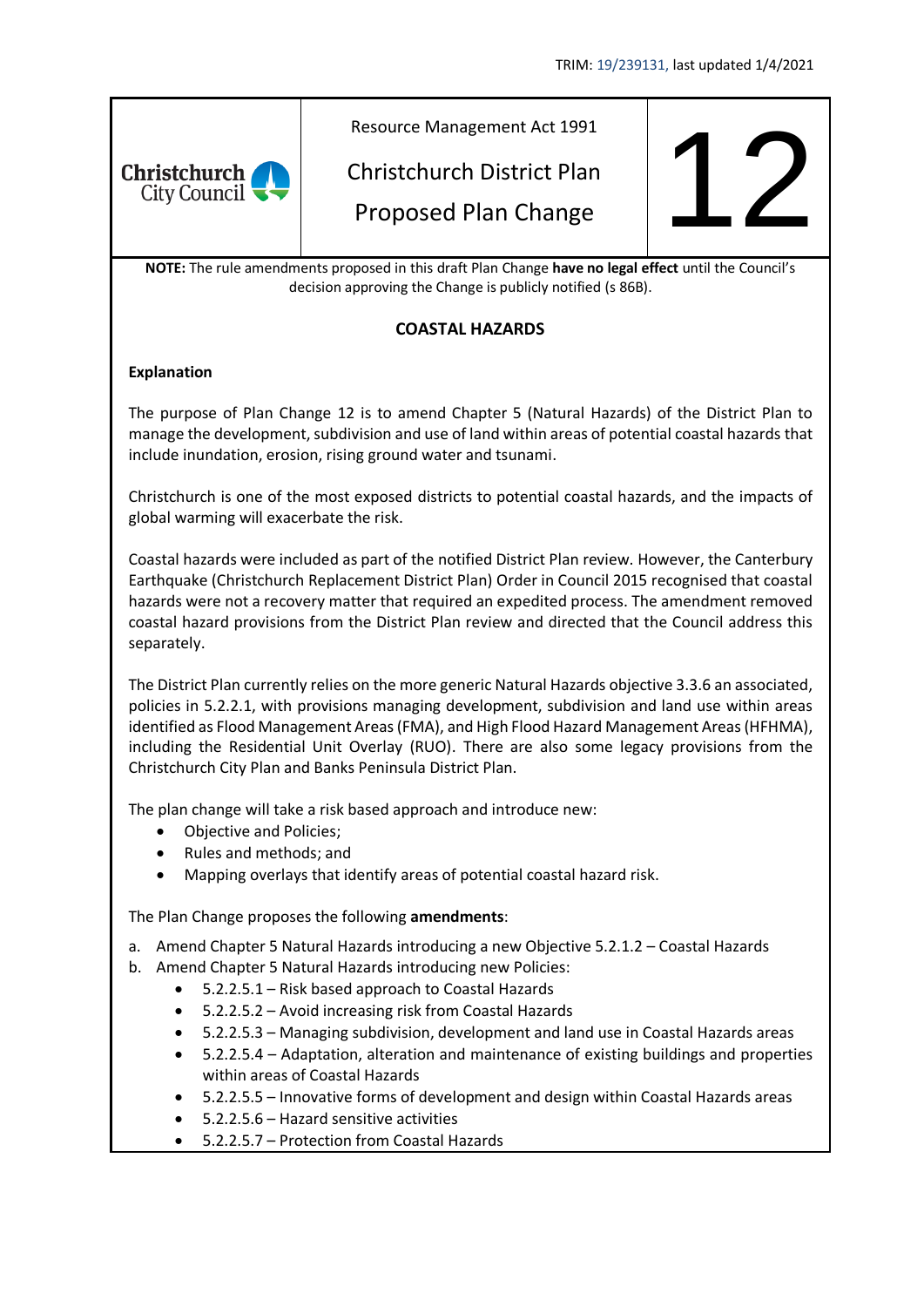

decision approving the Change is publicly notified (s 86B).

## **COASTAL HAZARDS**

### **Explanation**

The purpose of Plan Change 12 is to amend Chapter 5 (Natural Hazards) of the District Plan to manage the development, subdivision and use of land within areas of potential coastal hazards that include inundation, erosion, rising ground water and tsunami.

Christchurch is one of the most exposed districts to potential coastal hazards, and the impacts of global warming will exacerbate the risk.

Coastal hazards were included as part of the notified District Plan review. However, the Canterbury Earthquake (Christchurch Replacement District Plan) Order in Council 2015 recognised that coastal hazards were not a recovery matter that required an expedited process. The amendment removed coastal hazard provisions from the District Plan review and directed that the Council address this separately.

The District Plan currently relies on the more generic Natural Hazards objective 3.3.6 an associated, policies in 5.2.2.1, with provisions managing development, subdivision and land use within areas identified as Flood Management Areas (FMA), and High Flood Hazard Management Areas (HFHMA), including the Residential Unit Overlay (RUO). There are also some legacy provisions from the Christchurch City Plan and Banks Peninsula District Plan.

The plan change will take a risk based approach and introduce new:

- Objective and Policies;
- Rules and methods; and
- Mapping overlays that identify areas of potential coastal hazard risk.

The Plan Change proposes the following **amendments**:

- a. Amend Chapter 5 Natural Hazards introducing a new Objective 5.2.1.2 Coastal Hazards
- b. Amend Chapter 5 Natural Hazards introducing new Policies:
	- 5.2.2.5.1 Risk based approach to Coastal Hazards
	- 5.2.2.5.2 Avoid increasing risk from Coastal Hazards
	- 5.2.2.5.3 Managing subdivision, development and land use in Coastal Hazards areas
	- 5.2.2.5.4 Adaptation, alteration and maintenance of existing buildings and properties within areas of Coastal Hazards
	- 5.2.2.5.5 Innovative forms of development and design within Coastal Hazards areas
	- 5.2.2.5.6 Hazard sensitive activities
	- 5.2.2.5.7 Protection from Coastal Hazards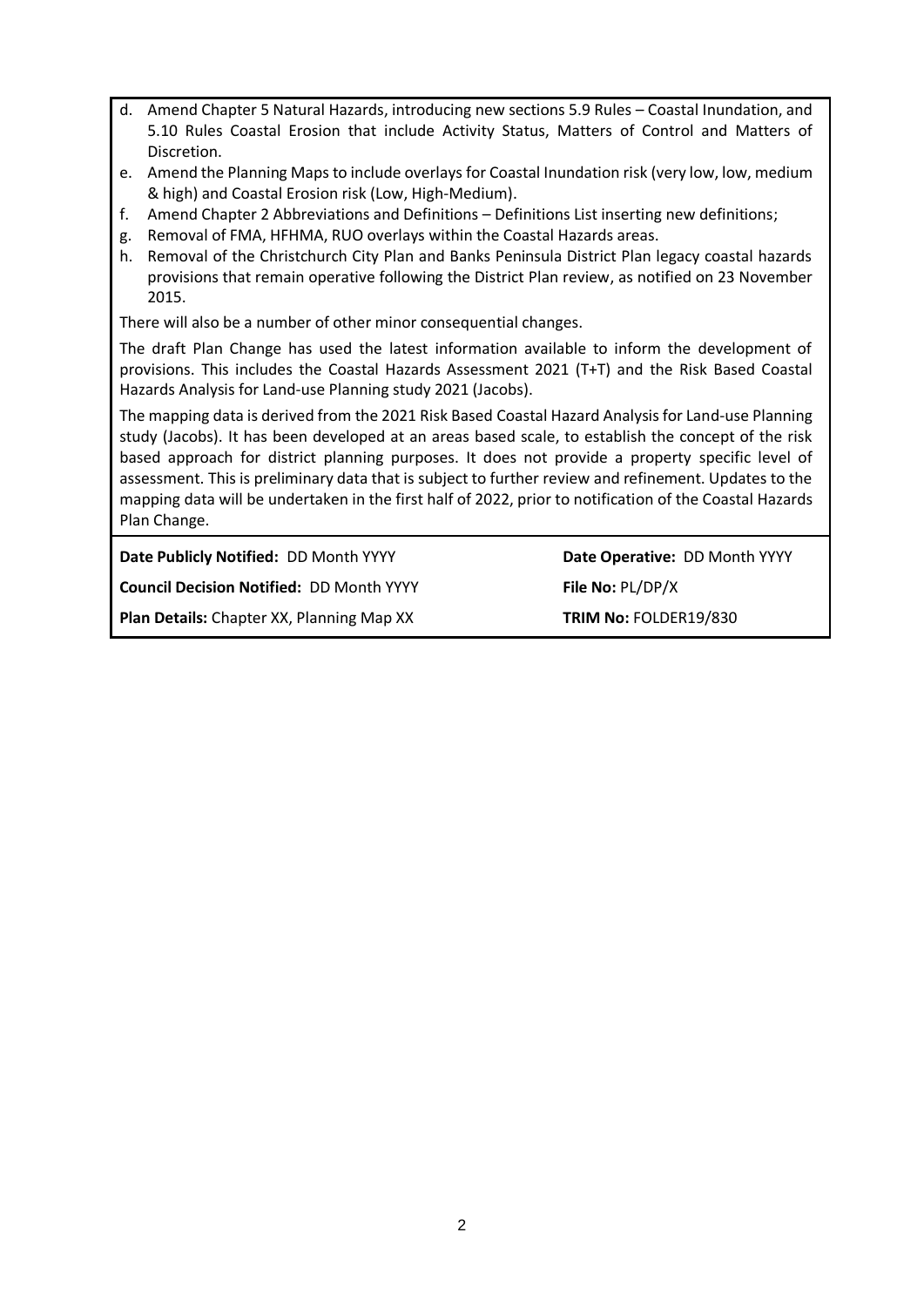- d. Amend Chapter 5 Natural Hazards, introducing new sections 5.9 Rules Coastal Inundation, and 5.10 Rules Coastal Erosion that include Activity Status, Matters of Control and Matters of Discretion.
- e. Amend the Planning Maps to include overlays for Coastal Inundation risk (very low, low, medium & high) and Coastal Erosion risk (Low, High-Medium).
- f. Amend Chapter 2 Abbreviations and Definitions Definitions List inserting new definitions;
- g. Removal of FMA, HFHMA, RUO overlays within the Coastal Hazards areas.
- h. Removal of the Christchurch City Plan and Banks Peninsula District Plan legacy coastal hazards provisions that remain operative following the District Plan review, as notified on 23 November 2015.

There will also be a number of other minor consequential changes.

The draft Plan Change has used the latest information available to inform the development of provisions. This includes the Coastal Hazards Assessment 2021 (T+T) and the Risk Based Coastal Hazards Analysis for Land-use Planning study 2021 (Jacobs).

The mapping data is derived from the 2021 Risk Based Coastal Hazard Analysis for Land-use Planning study (Jacobs). It has been developed at an areas based scale, to establish the concept of the risk based approach for district planning purposes. It does not provide a property specific level of assessment. This is preliminary data that is subject to further review and refinement. Updates to the mapping data will be undertaken in the first half of 2022, prior to notification of the Coastal Hazards Plan Change.

**Date Publicly Notified:** DD Month YYYY **Date Operative:** DD Month YYYY

**Council Decision Notified: DD Month YYYY File No: PL/DP/X** 

**Plan Details:** Chapter XX, Planning Map XX **TRIM No:** FOLDER19/830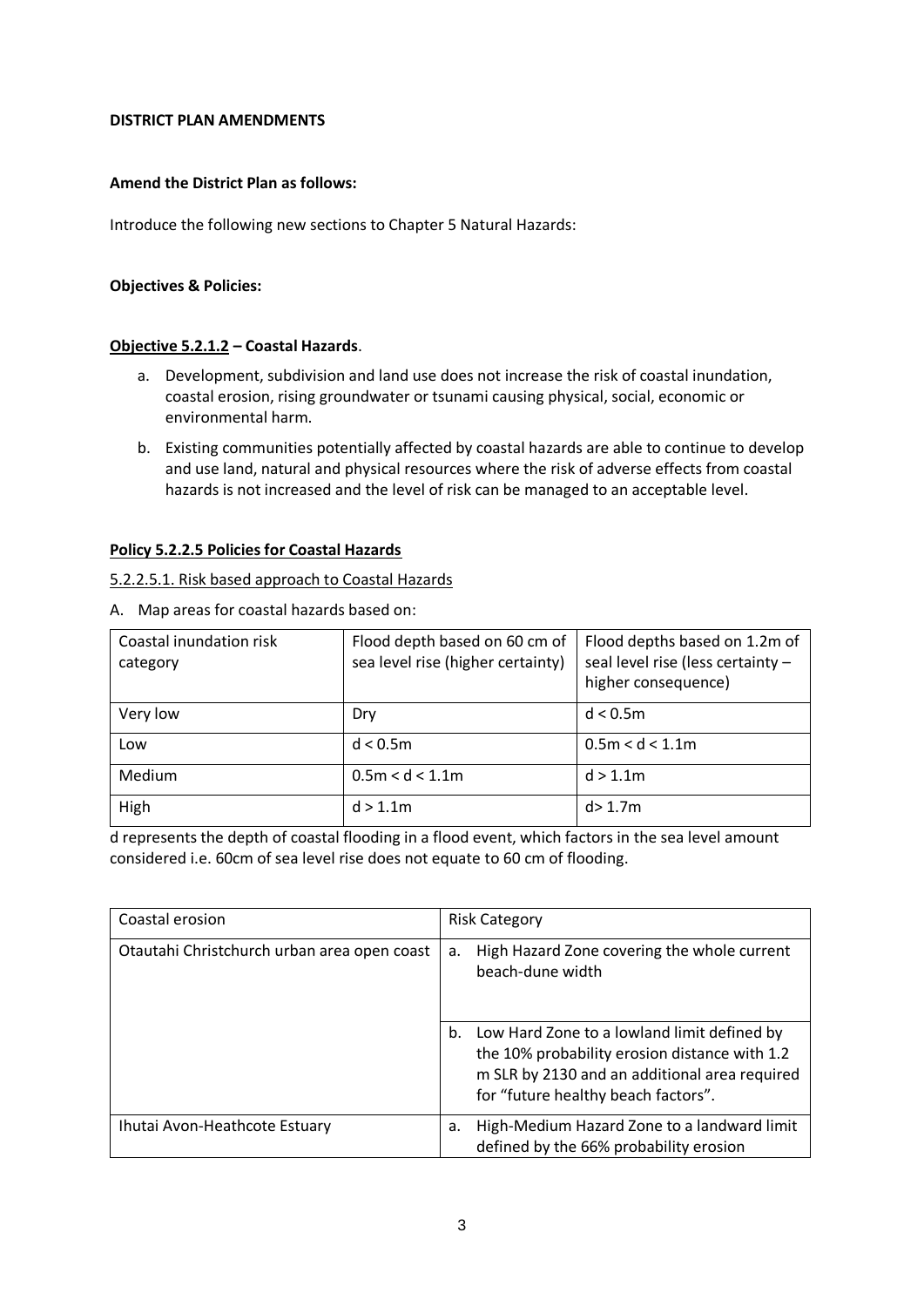#### **DISTRICT PLAN AMENDMENTS**

#### **Amend the District Plan as follows:**

Introduce the following new sections to Chapter 5 Natural Hazards:

#### **Objectives & Policies:**

#### **Objective 5.2.1.2 – Coastal Hazards**.

- a. Development, subdivision and land use does not increase the risk of coastal inundation, coastal erosion, rising groundwater or tsunami causing physical, social, economic or environmental harm.
- b. Existing communities potentially affected by coastal hazards are able to continue to develop and use land, natural and physical resources where the risk of adverse effects from coastal hazards is not increased and the level of risk can be managed to an acceptable level.

#### **Policy 5.2.2.5 Policies for Coastal Hazards**

#### 5.2.2.5.1. Risk based approach to Coastal Hazards

A. Map areas for coastal hazards based on:

| Coastal inundation risk<br>category | Flood depth based on 60 cm of<br>sea level rise (higher certainty) | Flood depths based on 1.2m of<br>seal level rise (less certainty -<br>higher consequence) |
|-------------------------------------|--------------------------------------------------------------------|-------------------------------------------------------------------------------------------|
| Very low                            | Dry                                                                | d < 0.5m                                                                                  |
| Low                                 | d < 0.5m                                                           | 0.5m < d < 1.1m                                                                           |
| Medium                              | 0.5m < d < 1.1m                                                    | d > 1.1m                                                                                  |
| High                                | d > 1.1m                                                           | d > 1.7m                                                                                  |

d represents the depth of coastal flooding in a flood event, which factors in the sea level amount considered i.e. 60cm of sea level rise does not equate to 60 cm of flooding.

| Coastal erosion                             | <b>Risk Category</b>                                                                                                                                                                       |
|---------------------------------------------|--------------------------------------------------------------------------------------------------------------------------------------------------------------------------------------------|
| Otautahi Christchurch urban area open coast | High Hazard Zone covering the whole current<br>а.<br>beach-dune width                                                                                                                      |
|                                             | Low Hard Zone to a lowland limit defined by<br>b.<br>the 10% probability erosion distance with 1.2<br>m SLR by 2130 and an additional area required<br>for "future healthy beach factors". |
| Ihutai Avon-Heathcote Estuary               | High-Medium Hazard Zone to a landward limit<br>a.<br>defined by the 66% probability erosion                                                                                                |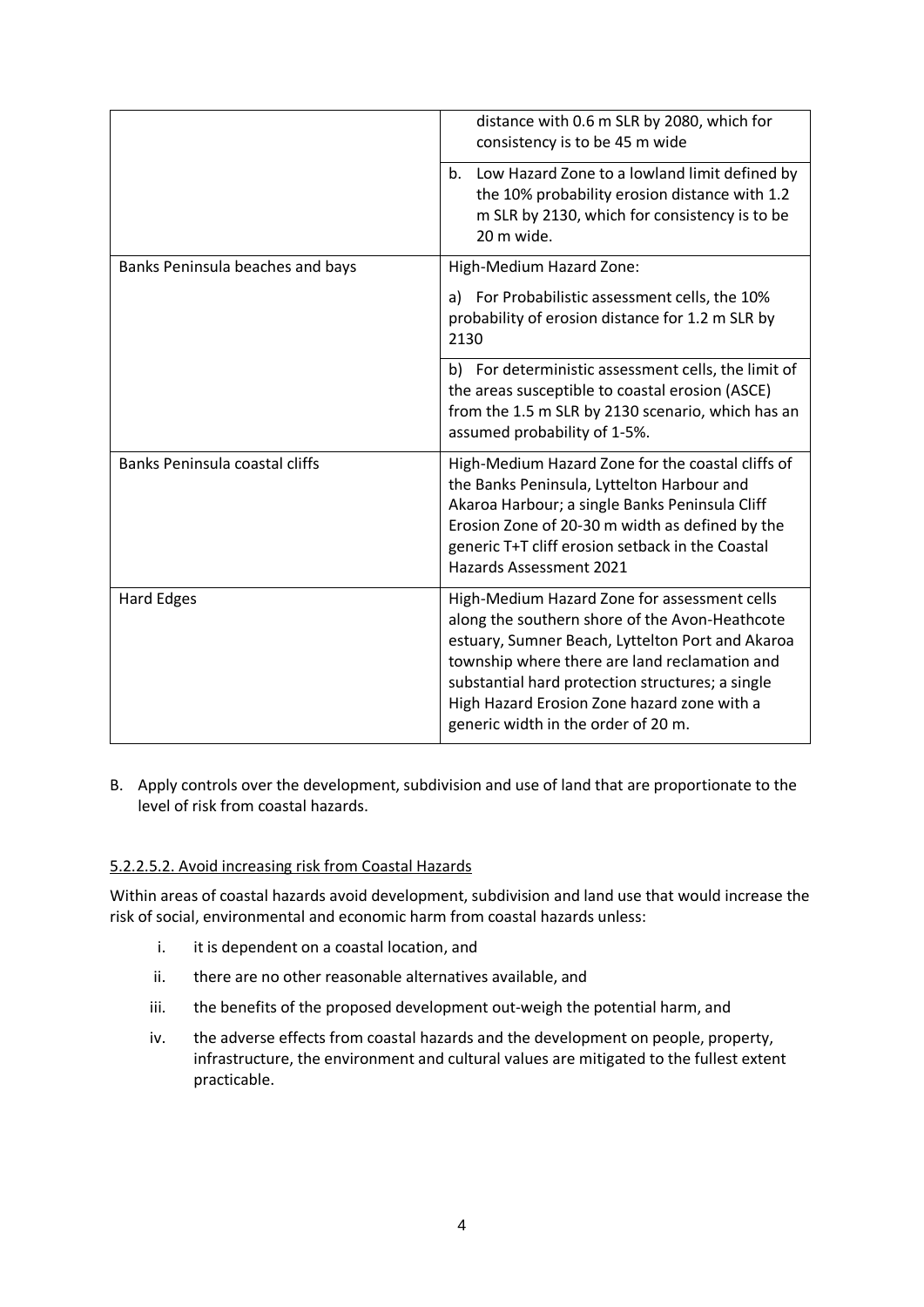|                                       | distance with 0.6 m SLR by 2080, which for<br>consistency is to be 45 m wide                                                                                                                                                                                                                                                                  |
|---------------------------------------|-----------------------------------------------------------------------------------------------------------------------------------------------------------------------------------------------------------------------------------------------------------------------------------------------------------------------------------------------|
|                                       | Low Hazard Zone to a lowland limit defined by<br>$b_{-}$<br>the 10% probability erosion distance with 1.2<br>m SLR by 2130, which for consistency is to be<br>20 m wide.                                                                                                                                                                      |
| Banks Peninsula beaches and bays      | High-Medium Hazard Zone:                                                                                                                                                                                                                                                                                                                      |
|                                       | a) For Probabilistic assessment cells, the 10%<br>probability of erosion distance for 1.2 m SLR by<br>2130                                                                                                                                                                                                                                    |
|                                       | b) For deterministic assessment cells, the limit of<br>the areas susceptible to coastal erosion (ASCE)<br>from the 1.5 m SLR by 2130 scenario, which has an<br>assumed probability of 1-5%.                                                                                                                                                   |
| <b>Banks Peninsula coastal cliffs</b> | High-Medium Hazard Zone for the coastal cliffs of<br>the Banks Peninsula, Lyttelton Harbour and<br>Akaroa Harbour; a single Banks Peninsula Cliff<br>Erosion Zone of 20-30 m width as defined by the<br>generic T+T cliff erosion setback in the Coastal<br><b>Hazards Assessment 2021</b>                                                    |
| <b>Hard Edges</b>                     | High-Medium Hazard Zone for assessment cells<br>along the southern shore of the Avon-Heathcote<br>estuary, Sumner Beach, Lyttelton Port and Akaroa<br>township where there are land reclamation and<br>substantial hard protection structures; a single<br>High Hazard Erosion Zone hazard zone with a<br>generic width in the order of 20 m. |

B. Apply controls over the development, subdivision and use of land that are proportionate to the level of risk from coastal hazards.

### 5.2.2.5.2. Avoid increasing risk from Coastal Hazards

Within areas of coastal hazards avoid development, subdivision and land use that would increase the risk of social, environmental and economic harm from coastal hazards unless:

- i. it is dependent on a coastal location, and
- ii. there are no other reasonable alternatives available, and
- iii. the benefits of the proposed development out-weigh the potential harm, and
- iv. the adverse effects from coastal hazards and the development on people, property, infrastructure, the environment and cultural values are mitigated to the fullest extent practicable.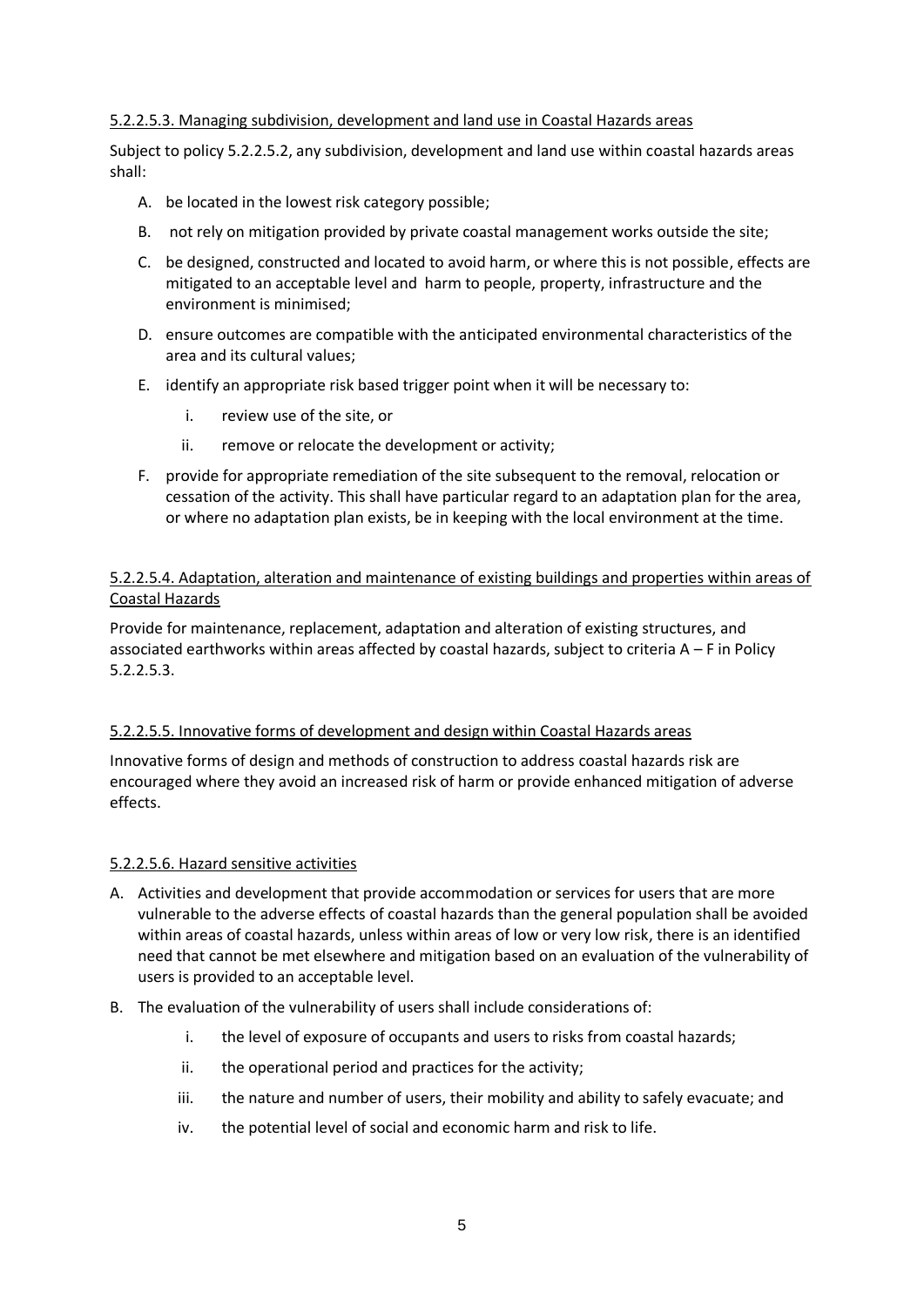#### 5.2.2.5.3. Managing subdivision, development and land use in Coastal Hazards areas

Subject to policy 5.2.2.5.2, any subdivision, development and land use within coastal hazards areas shall:

- A. be located in the lowest risk category possible;
- B. not rely on mitigation provided by private coastal management works outside the site;
- C. be designed, constructed and located to avoid harm, or where this is not possible, effects are mitigated to an acceptable level and harm to people, property, infrastructure and the environment is minimised;
- D. ensure outcomes are compatible with the anticipated environmental characteristics of the area and its cultural values;
- E. identify an appropriate risk based trigger point when it will be necessary to:
	- i. review use of the site, or
	- ii. remove or relocate the development or activity;
- F. provide for appropriate remediation of the site subsequent to the removal, relocation or cessation of the activity. This shall have particular regard to an adaptation plan for the area, or where no adaptation plan exists, be in keeping with the local environment at the time.

### 5.2.2.5.4. Adaptation, alteration and maintenance of existing buildings and properties within areas of Coastal Hazards

Provide for maintenance, replacement, adaptation and alteration of existing structures, and associated earthworks within areas affected by coastal hazards, subject to criteria A – F in Policy 5.2.2.5.3.

### 5.2.2.5.5. Innovative forms of development and design within Coastal Hazards areas

Innovative forms of design and methods of construction to address coastal hazards risk are encouraged where they avoid an increased risk of harm or provide enhanced mitigation of adverse effects.

#### 5.2.2.5.6. Hazard sensitive activities

- A. Activities and development that provide accommodation or services for users that are more vulnerable to the adverse effects of coastal hazards than the general population shall be avoided within areas of coastal hazards, unless within areas of low or very low risk, there is an identified need that cannot be met elsewhere and mitigation based on an evaluation of the vulnerability of users is provided to an acceptable level.
- B. The evaluation of the vulnerability of users shall include considerations of:
	- i. the level of exposure of occupants and users to risks from coastal hazards;
	- ii. the operational period and practices for the activity;
	- iii. the nature and number of users, their mobility and ability to safely evacuate; and
	- iv. the potential level of social and economic harm and risk to life.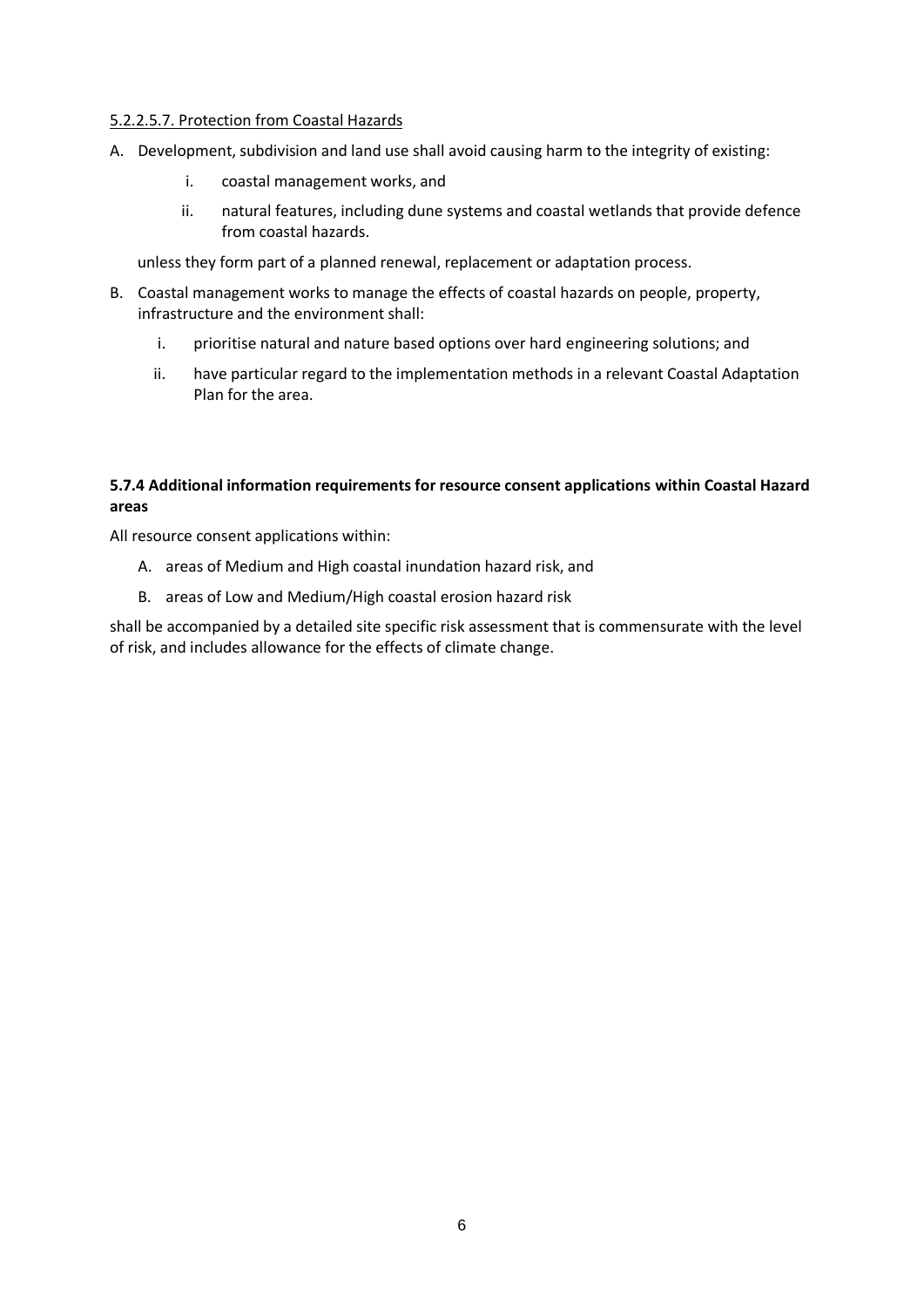#### 5.2.2.5.7. Protection from Coastal Hazards

- A. Development, subdivision and land use shall avoid causing harm to the integrity of existing:
	- i. coastal management works, and
	- ii. natural features, including dune systems and coastal wetlands that provide defence from coastal hazards.

unless they form part of a planned renewal, replacement or adaptation process.

- B. Coastal management works to manage the effects of coastal hazards on people, property, infrastructure and the environment shall:
	- i. prioritise natural and nature based options over hard engineering solutions; and
	- ii. have particular regard to the implementation methods in a relevant Coastal Adaptation Plan for the area.

# **5.7.4 Additional information requirements for resource consent applications within Coastal Hazard areas**

All resource consent applications within:

- A. areas of Medium and High coastal inundation hazard risk, and
- B. areas of Low and Medium/High coastal erosion hazard risk

shall be accompanied by a detailed site specific risk assessment that is commensurate with the level of risk, and includes allowance for the effects of climate change.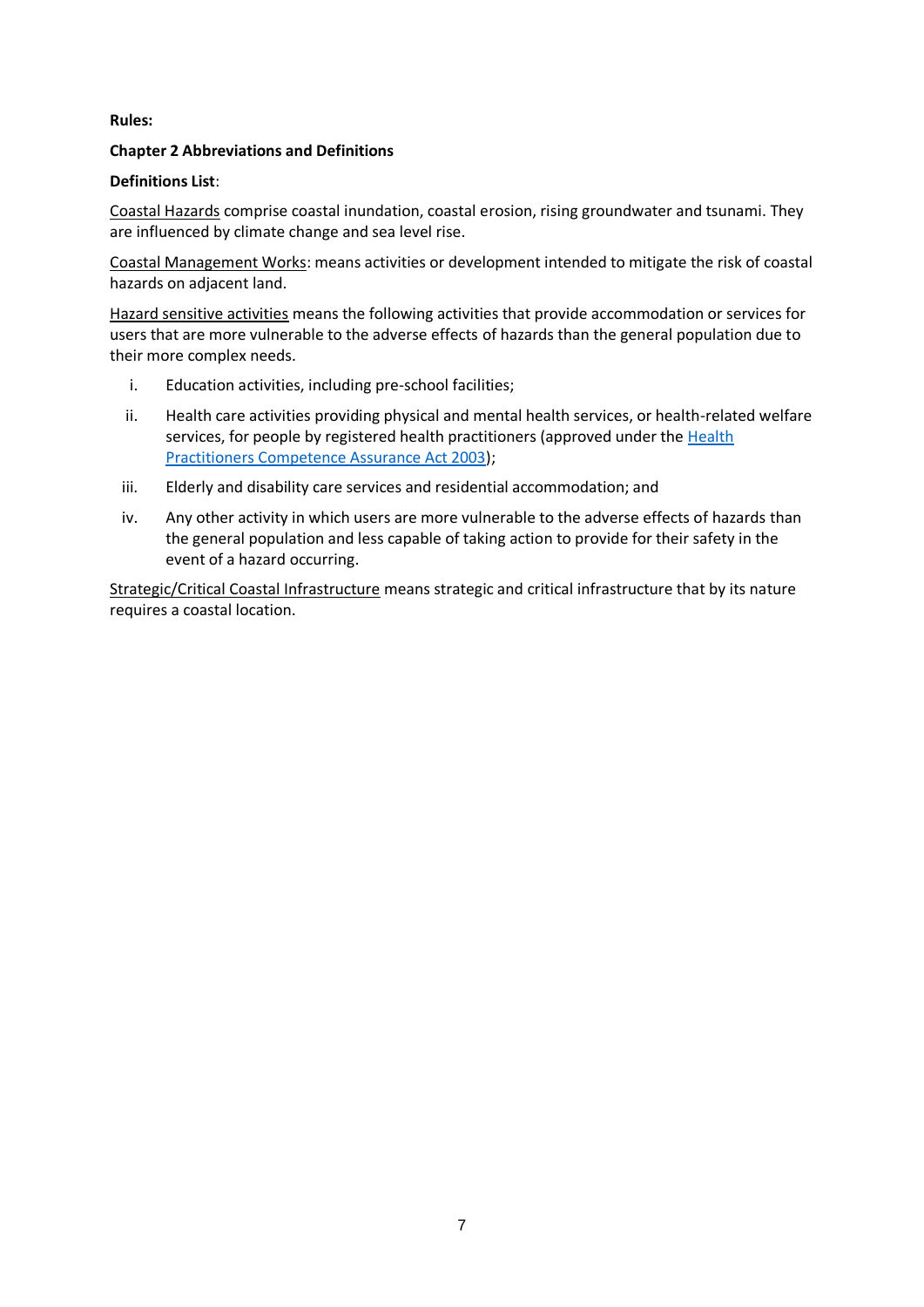#### **Rules:**

#### **Chapter 2 Abbreviations and Definitions**

#### **Definitions List**:

Coastal Hazards comprise coastal inundation, coastal erosion, rising groundwater and tsunami. They are influenced by climate change and sea level rise.

Coastal Management Works: means activities or development intended to mitigate the risk of coastal hazards on adjacent land.

Hazard sensitive activities means the following activities that provide accommodation or services for users that are more vulnerable to the adverse effects of hazards than the general population due to their more complex needs.

- i. Education activities, including pre-school facilities;
- ii. Health care activities providing physical and mental health services, or health-related welfare services, for people by registered health practitioners (approved under the Health [Practitioners Competence Assurance Act 2003\)](http://www.legislation.govt.nz/act/public/2003/0048/latest/DLM203312.html);
- iii. Elderly and disability care services and residential accommodation; and
- iv. Any other activity in which users are more vulnerable to the adverse effects of hazards than the general population and less capable of taking action to provide for their safety in the event of a hazard occurring.

Strategic/Critical Coastal Infrastructure means strategic and critical infrastructure that by its nature requires a coastal location.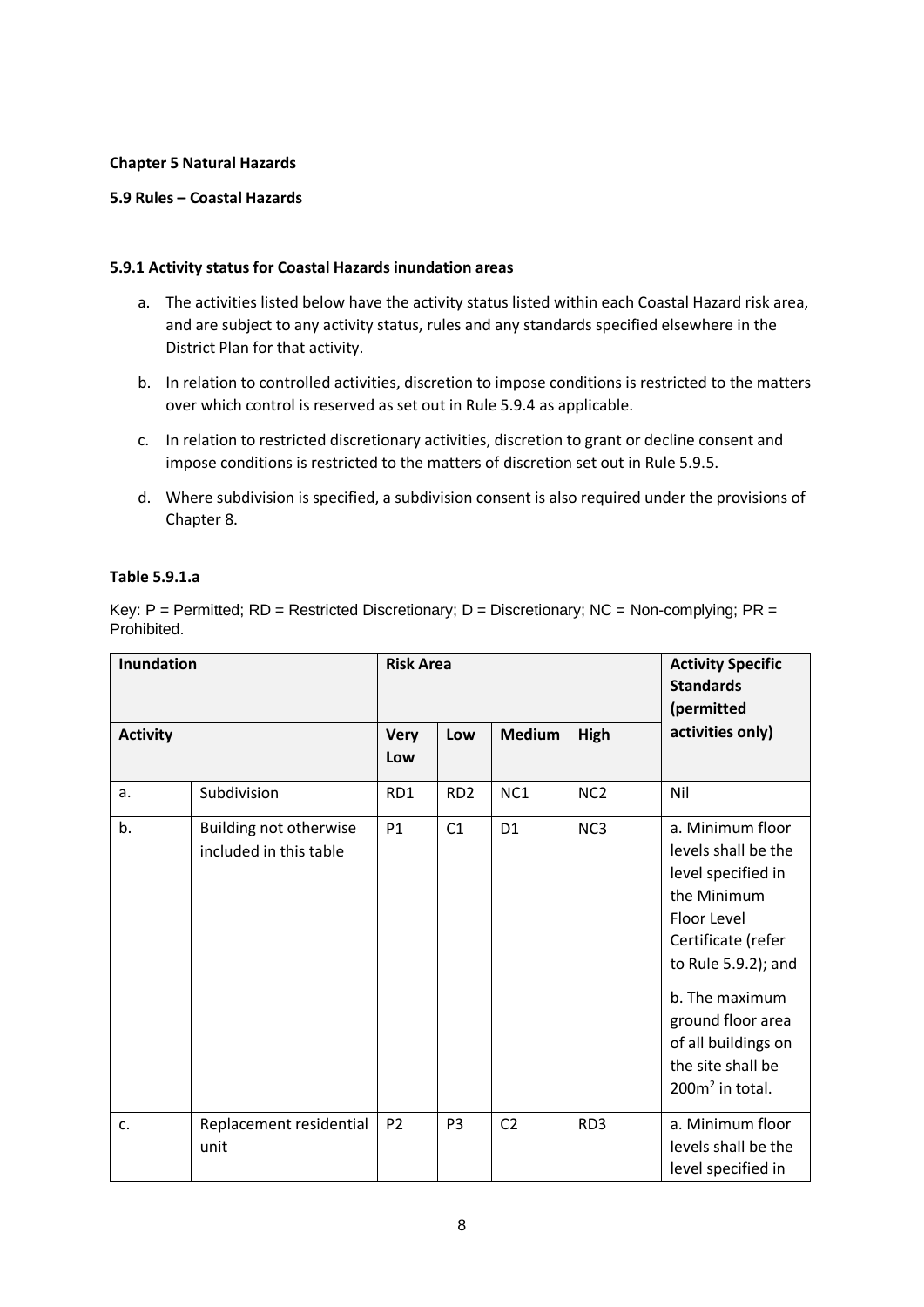#### **Chapter 5 Natural Hazards**

#### **5.9 Rules – Coastal Hazards**

#### **5.9.1 Activity status for Coastal Hazards inundation areas**

- a. The activities listed below have the activity status listed within each Coastal Hazard risk area, and are subject to any activity status, rules and any standards specified elsewhere in the District Plan for that activity.
- b. In relation to controlled activities, discretion to impose conditions is restricted to the matters over which control is reserved as set out in Rule 5.9.4 as applicable.
- c. In relation to restricted discretionary activities, discretion to grant or decline consent and impose conditions is restricted to the matters of discretion set out in Rule 5.9.5.
- d. Where subdivision is specified, a subdivision consent is also required under the provisions of Chapter 8.

#### **Table 5.9.1.a**

Key:  $P =$  Permitted;  $RD =$  Restricted Discretionary;  $D =$  Discretionary;  $NC =$  Non-complying;  $PR =$ Prohibited.

| <b>Inundation</b> |                                                  | <b>Risk Area</b>   |                 | <b>Activity Specific</b><br><b>Standards</b><br>(permitted |                 |                                                                                                                                                                                                                                                  |
|-------------------|--------------------------------------------------|--------------------|-----------------|------------------------------------------------------------|-----------------|--------------------------------------------------------------------------------------------------------------------------------------------------------------------------------------------------------------------------------------------------|
| <b>Activity</b>   |                                                  | <b>Very</b><br>Low | Low             | <b>Medium</b>                                              | High            | activities only)                                                                                                                                                                                                                                 |
| a.                | Subdivision                                      | RD1                | RD <sub>2</sub> | NC1                                                        | NC <sub>2</sub> | Nil                                                                                                                                                                                                                                              |
| b.                | Building not otherwise<br>included in this table | P1                 | C1              | D <sub>1</sub>                                             | NC <sub>3</sub> | a. Minimum floor<br>levels shall be the<br>level specified in<br>the Minimum<br>Floor Level<br>Certificate (refer<br>to Rule 5.9.2); and<br>b. The maximum<br>ground floor area<br>of all buildings on<br>the site shall be<br>$200m2$ in total. |
| c.                | Replacement residential<br>unit                  | P <sub>2</sub>     | P <sub>3</sub>  | C <sub>2</sub>                                             | RD3             | a. Minimum floor<br>levels shall be the<br>level specified in                                                                                                                                                                                    |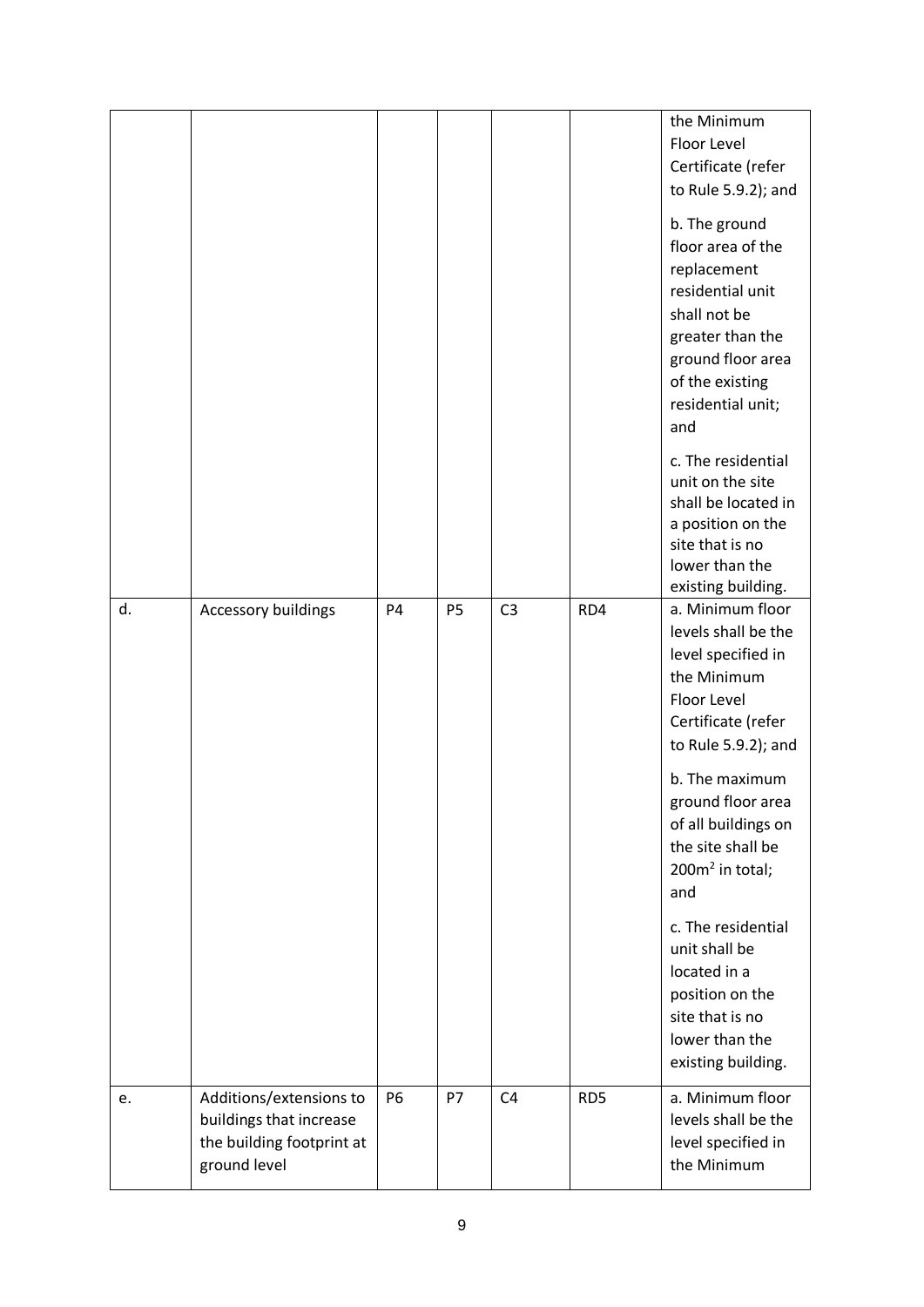|    |                           |           |           |                |                 | the Minimum                             |
|----|---------------------------|-----------|-----------|----------------|-----------------|-----------------------------------------|
|    |                           |           |           |                |                 | Floor Level                             |
|    |                           |           |           |                |                 | Certificate (refer                      |
|    |                           |           |           |                |                 | to Rule 5.9.2); and                     |
|    |                           |           |           |                |                 | b. The ground                           |
|    |                           |           |           |                |                 | floor area of the                       |
|    |                           |           |           |                |                 | replacement<br>residential unit         |
|    |                           |           |           |                |                 | shall not be                            |
|    |                           |           |           |                |                 | greater than the                        |
|    |                           |           |           |                |                 | ground floor area                       |
|    |                           |           |           |                |                 | of the existing                         |
|    |                           |           |           |                |                 | residential unit;                       |
|    |                           |           |           |                |                 | and                                     |
|    |                           |           |           |                |                 |                                         |
|    |                           |           |           |                |                 | c. The residential                      |
|    |                           |           |           |                |                 | unit on the site<br>shall be located in |
|    |                           |           |           |                |                 | a position on the                       |
|    |                           |           |           |                |                 | site that is no                         |
|    |                           |           |           |                |                 | lower than the                          |
|    |                           |           |           |                |                 | existing building.                      |
| d. | Accessory buildings       | <b>P4</b> | <b>P5</b> | C <sub>3</sub> | RD4             | a. Minimum floor                        |
|    |                           |           |           |                |                 | levels shall be the                     |
|    |                           |           |           |                |                 | level specified in                      |
|    |                           |           |           |                |                 | the Minimum<br>Floor Level              |
|    |                           |           |           |                |                 | Certificate (refer                      |
|    |                           |           |           |                |                 | to Rule 5.9.2); and                     |
|    |                           |           |           |                |                 |                                         |
|    |                           |           |           |                |                 | b. The maximum                          |
|    |                           |           |           |                |                 | ground floor area                       |
|    |                           |           |           |                |                 | of all buildings on                     |
|    |                           |           |           |                |                 | the site shall be<br>200 $m2$ in total; |
|    |                           |           |           |                |                 | and                                     |
|    |                           |           |           |                |                 |                                         |
|    |                           |           |           |                |                 | c. The residential                      |
|    |                           |           |           |                |                 | unit shall be                           |
|    |                           |           |           |                |                 | located in a                            |
|    |                           |           |           |                |                 | position on the                         |
|    |                           |           |           |                |                 | site that is no<br>lower than the       |
|    |                           |           |           |                |                 | existing building.                      |
|    |                           |           |           |                |                 |                                         |
| e. | Additions/extensions to   | P6        | <b>P7</b> | C <sub>4</sub> | RD <sub>5</sub> | a. Minimum floor                        |
|    | buildings that increase   |           |           |                |                 | levels shall be the                     |
|    | the building footprint at |           |           |                |                 | level specified in                      |
|    | ground level              |           |           |                |                 | the Minimum                             |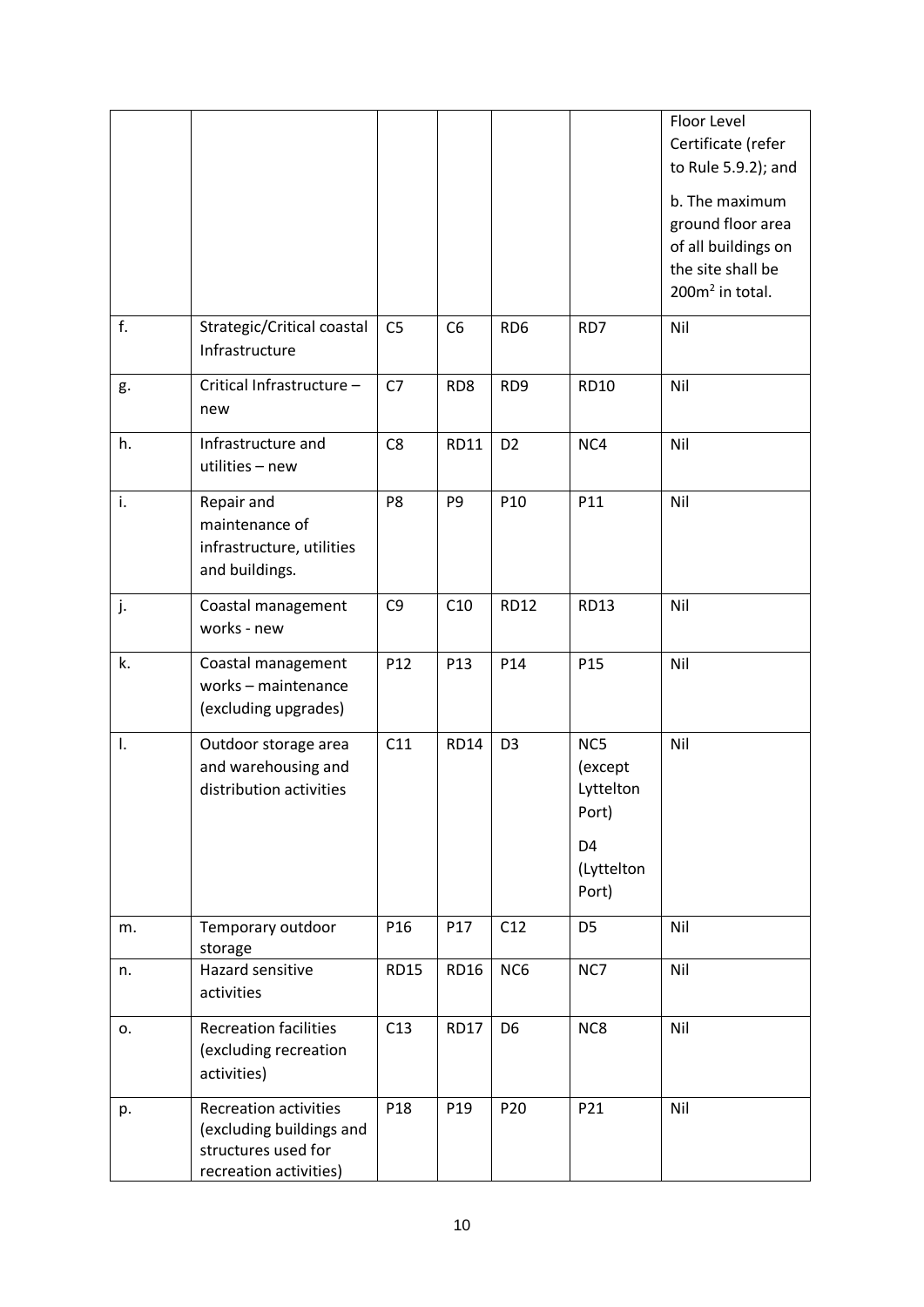|    |                                                                                                           |                 |                 |                 |                                                                               | Floor Level<br>Certificate (refer<br>to Rule 5.9.2); and<br>b. The maximum<br>ground floor area<br>of all buildings on<br>the site shall be<br>200m <sup>2</sup> in total. |
|----|-----------------------------------------------------------------------------------------------------------|-----------------|-----------------|-----------------|-------------------------------------------------------------------------------|----------------------------------------------------------------------------------------------------------------------------------------------------------------------------|
| f. | Strategic/Critical coastal<br>Infrastructure                                                              | C <sub>5</sub>  | C <sub>6</sub>  | RD <sub>6</sub> | RD7                                                                           | Nil                                                                                                                                                                        |
| g. | Critical Infrastructure -<br>new                                                                          | C7              | RD8             | RD <sub>9</sub> | <b>RD10</b>                                                                   | Nil                                                                                                                                                                        |
| h. | Infrastructure and<br>utilities - new                                                                     | C <sub>8</sub>  | <b>RD11</b>     | D <sub>2</sub>  | NC4                                                                           | Nil                                                                                                                                                                        |
| i. | Repair and<br>maintenance of<br>infrastructure, utilities<br>and buildings.                               | P <sub>8</sub>  | P <sub>9</sub>  | P10             | P11                                                                           | Nil                                                                                                                                                                        |
| j. | Coastal management<br>works - new                                                                         | C <sub>9</sub>  | C10             | <b>RD12</b>     | <b>RD13</b>                                                                   | Nil                                                                                                                                                                        |
| k. | Coastal management<br>works - maintenance<br>(excluding upgrades)                                         | P12             | P <sub>13</sub> | P14             | P <sub>15</sub>                                                               | Nil                                                                                                                                                                        |
| I. | Outdoor storage area<br>and warehousing and<br>distribution activities                                    | C11             | <b>RD14</b>     | D <sub>3</sub>  | NC5<br>(except<br>Lyttelton<br>Port)<br>D <sub>4</sub><br>(Lyttelton<br>Port) | Nil                                                                                                                                                                        |
| m. | Temporary outdoor<br>storage                                                                              | P <sub>16</sub> | P17             | C12             | D <sub>5</sub>                                                                | Nil                                                                                                                                                                        |
| n. | Hazard sensitive<br>activities                                                                            | <b>RD15</b>     | <b>RD16</b>     | NC6             | NC7                                                                           | Nil                                                                                                                                                                        |
| 0. | <b>Recreation facilities</b><br>(excluding recreation<br>activities)                                      | C13             | <b>RD17</b>     | D <sub>6</sub>  | NC8                                                                           | Nil                                                                                                                                                                        |
| p. | <b>Recreation activities</b><br>(excluding buildings and<br>structures used for<br>recreation activities) | P <sub>18</sub> | P <sub>19</sub> | P <sub>20</sub> | P21                                                                           | Nil                                                                                                                                                                        |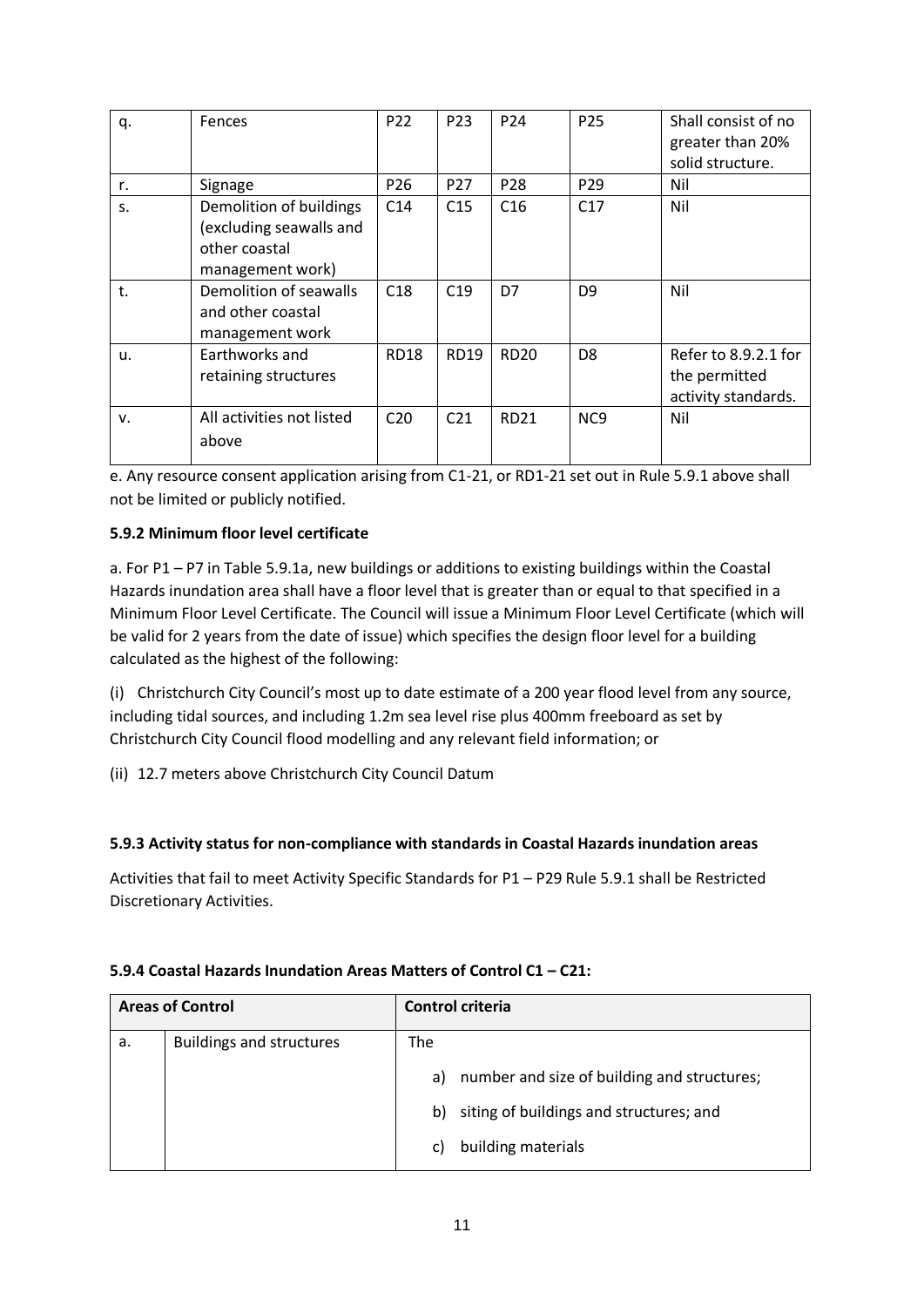| q. | Fences                                                                                  | P22             | P <sub>23</sub> | P <sub>24</sub> | P <sub>25</sub>  | Shall consist of no<br>greater than 20%<br>solid structure.  |
|----|-----------------------------------------------------------------------------------------|-----------------|-----------------|-----------------|------------------|--------------------------------------------------------------|
| r. | Signage                                                                                 | P <sub>26</sub> | P <sub>27</sub> | P <sub>28</sub> | P <sub>29</sub>  | Nil                                                          |
| S. | Demolition of buildings<br>(excluding seawalls and<br>other coastal<br>management work) | C <sub>14</sub> | C <sub>15</sub> | C16             | C17              | Nil                                                          |
| t. | Demolition of seawalls<br>and other coastal<br>management work                          | C18             | C19             | D7              | D <sub>9</sub>   | Nil                                                          |
| u. | Earthworks and<br>retaining structures                                                  | <b>RD18</b>     | <b>RD19</b>     | <b>RD20</b>     | D <sub>8</sub>   | Refer to 8.9.2.1 for<br>the permitted<br>activity standards. |
| v. | All activities not listed<br>above                                                      | C <sub>20</sub> | C <sub>21</sub> | <b>RD21</b>     | N <sub>C</sub> 9 | Nil                                                          |

e. Any resource consent application arising from C1-21, or RD1-21 set out in Rule 5.9.1 above shall not be limited or publicly notified.

## **5.9.2 Minimum floor level certificate**

a. For P1 – P7 in Table 5.9.1a, new buildings or additions to existing buildings within the Coastal Hazards inundation area shall have a floor level that is greater than or equal to that specified in a Minimum Floor Level Certificate. The Council will issue a Minimum Floor Level Certificate (which will be valid for 2 years from the date of issue) which specifies the design floor level for a building calculated as the highest of the following:

(i) Christchurch City Council's most up to date estimate of a 200 year flood level from any source, including tidal sources, and including 1.2m sea level rise plus 400mm freeboard as set by Christchurch City Council flood modelling and any relevant field information; or

(ii) 12.7 meters above Christchurch City Council Datum

### **5.9.3 Activity status for non-compliance with standards in Coastal Hazards inundation areas**

Activities that fail to meet Activity Specific Standards for P1 – P29 Rule 5.9.1 shall be Restricted Discretionary Activities.

### **5.9.4 Coastal Hazards Inundation Areas Matters of Control C1 – C21:**

|    | <b>Areas of Control</b>         | Control criteria |                                             |
|----|---------------------------------|------------------|---------------------------------------------|
| a. | <b>Buildings and structures</b> | The              |                                             |
|    |                                 | a)               | number and size of building and structures; |
|    |                                 | b)               | siting of buildings and structures; and     |
|    |                                 | C)               | building materials                          |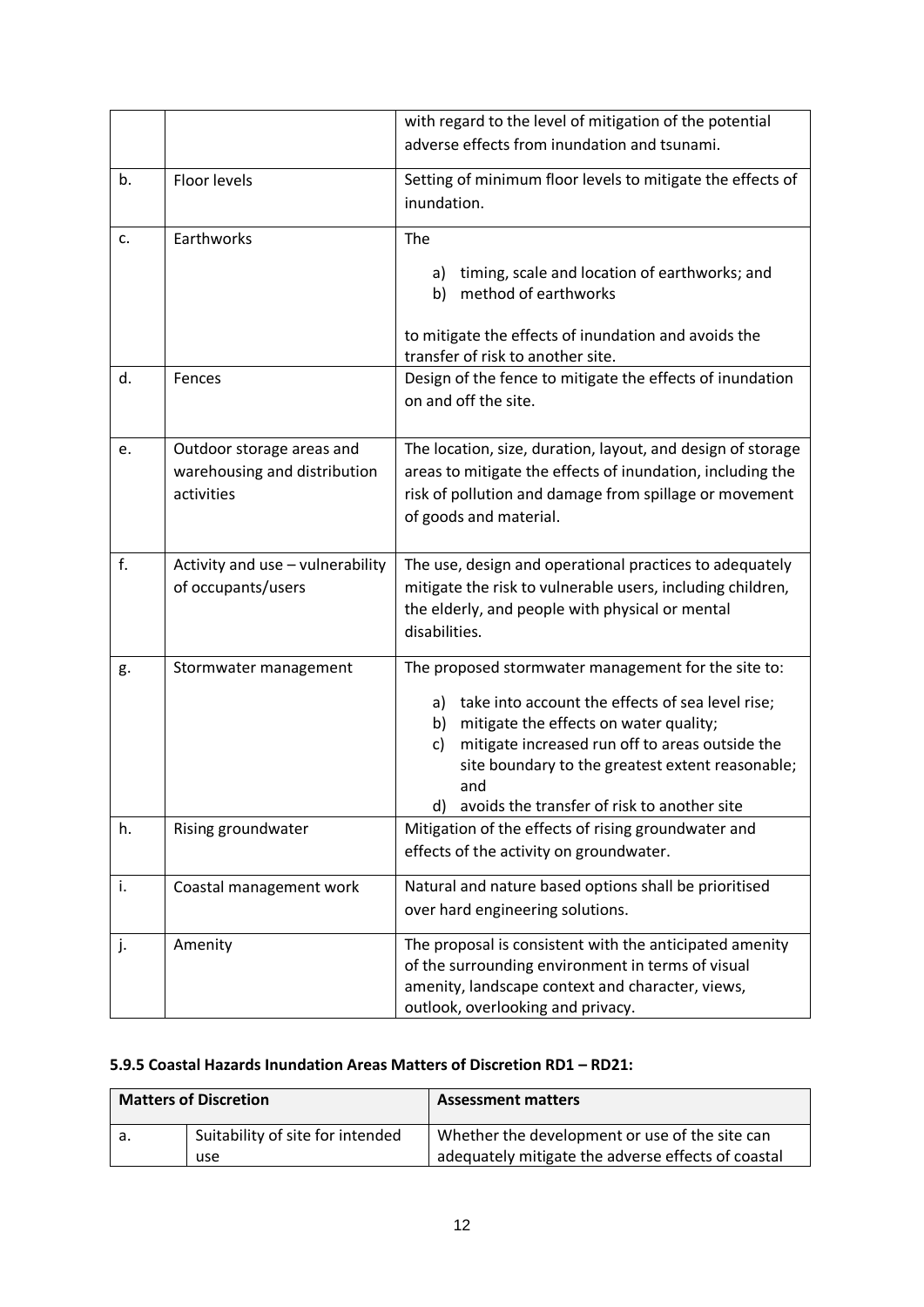|    |                                  | with regard to the level of mitigation of the potential     |
|----|----------------------------------|-------------------------------------------------------------|
|    |                                  | adverse effects from inundation and tsunami.                |
|    |                                  |                                                             |
| b. | Floor levels                     | Setting of minimum floor levels to mitigate the effects of  |
|    |                                  | inundation.                                                 |
|    |                                  |                                                             |
| c. | Earthworks                       | The                                                         |
|    |                                  | timing, scale and location of earthworks; and<br>a)         |
|    |                                  | method of earthworks<br>b)                                  |
|    |                                  |                                                             |
|    |                                  | to mitigate the effects of inundation and avoids the        |
|    |                                  | transfer of risk to another site.                           |
| d. | Fences                           | Design of the fence to mitigate the effects of inundation   |
|    |                                  | on and off the site.                                        |
|    |                                  |                                                             |
| e. | Outdoor storage areas and        | The location, size, duration, layout, and design of storage |
|    | warehousing and distribution     | areas to mitigate the effects of inundation, including the  |
|    | activities                       |                                                             |
|    |                                  | risk of pollution and damage from spillage or movement      |
|    |                                  | of goods and material.                                      |
|    |                                  |                                                             |
| f. | Activity and use - vulnerability | The use, design and operational practices to adequately     |
|    | of occupants/users               | mitigate the risk to vulnerable users, including children,  |
|    |                                  | the elderly, and people with physical or mental             |
|    |                                  | disabilities.                                               |
| g. | Stormwater management            | The proposed stormwater management for the site to:         |
|    |                                  |                                                             |
|    |                                  | a) take into account the effects of sea level rise;         |
|    |                                  | mitigate the effects on water quality;<br>b)                |
|    |                                  | mitigate increased run off to areas outside the<br>c)       |
|    |                                  | site boundary to the greatest extent reasonable;            |
|    |                                  | and                                                         |
|    |                                  | avoids the transfer of risk to another site                 |
| h. | Rising groundwater               | Mitigation of the effects of rising groundwater and         |
|    |                                  | effects of the activity on groundwater.                     |
| i. | Coastal management work          | Natural and nature based options shall be prioritised       |
|    |                                  | over hard engineering solutions.                            |
|    |                                  |                                                             |
| j. | Amenity                          | The proposal is consistent with the anticipated amenity     |
|    |                                  | of the surrounding environment in terms of visual           |
|    |                                  | amenity, landscape context and character, views,            |
|    |                                  | outlook, overlooking and privacy.                           |

# **5.9.5 Coastal Hazards Inundation Areas Matters of Discretion RD1 – RD21:**

| <b>Matters of Discretion</b> |                                  | <b>Assessment matters</b>                          |
|------------------------------|----------------------------------|----------------------------------------------------|
| а.                           | Suitability of site for intended | Whether the development or use of the site can     |
|                              | use                              | adequately mitigate the adverse effects of coastal |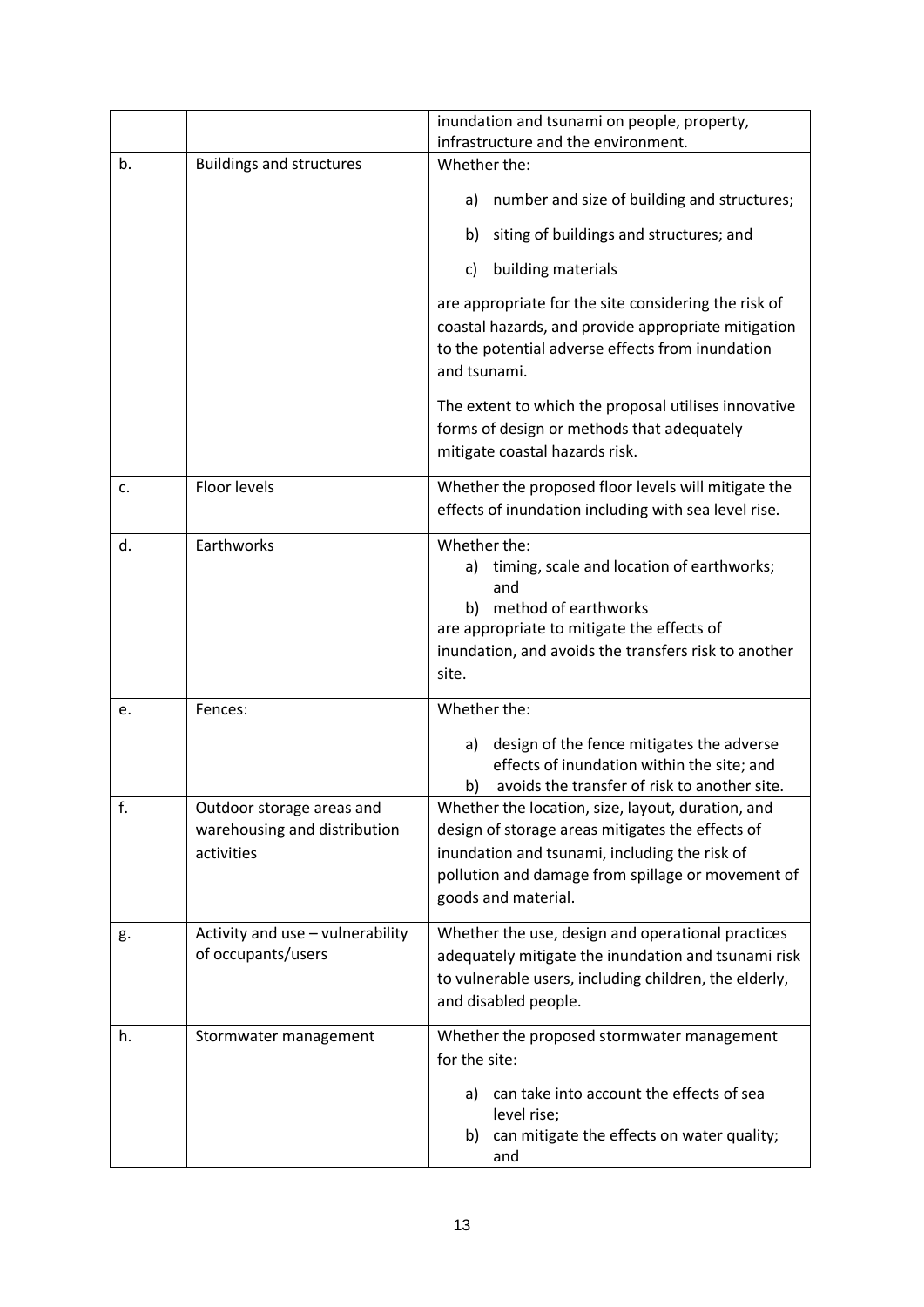|    |                                                                         | inundation and tsunami on people, property,<br>infrastructure and the environment.                                                                                                                                                 |
|----|-------------------------------------------------------------------------|------------------------------------------------------------------------------------------------------------------------------------------------------------------------------------------------------------------------------------|
| b. | <b>Buildings and structures</b>                                         | Whether the:                                                                                                                                                                                                                       |
|    |                                                                         | number and size of building and structures;<br>a)                                                                                                                                                                                  |
|    |                                                                         | siting of buildings and structures; and<br>b)                                                                                                                                                                                      |
|    |                                                                         | building materials<br>C)                                                                                                                                                                                                           |
|    |                                                                         | are appropriate for the site considering the risk of<br>coastal hazards, and provide appropriate mitigation<br>to the potential adverse effects from inundation<br>and tsunami.                                                    |
|    |                                                                         | The extent to which the proposal utilises innovative<br>forms of design or methods that adequately<br>mitigate coastal hazards risk.                                                                                               |
| c. | Floor levels                                                            | Whether the proposed floor levels will mitigate the<br>effects of inundation including with sea level rise.                                                                                                                        |
| d. | Earthworks                                                              | Whether the:<br>a) timing, scale and location of earthworks;<br>and<br>b) method of earthworks<br>are appropriate to mitigate the effects of<br>inundation, and avoids the transfers risk to another<br>site.                      |
| e. | Fences:                                                                 | Whether the:                                                                                                                                                                                                                       |
|    |                                                                         | design of the fence mitigates the adverse<br>a)<br>effects of inundation within the site; and<br>avoids the transfer of risk to another site.<br>b)                                                                                |
| f. | Outdoor storage areas and<br>warehousing and distribution<br>activities | Whether the location, size, layout, duration, and<br>design of storage areas mitigates the effects of<br>inundation and tsunami, including the risk of<br>pollution and damage from spillage or movement of<br>goods and material. |
| g. | Activity and use - vulnerability<br>of occupants/users                  | Whether the use, design and operational practices<br>adequately mitigate the inundation and tsunami risk<br>to vulnerable users, including children, the elderly,<br>and disabled people.                                          |
| h. | Stormwater management                                                   | Whether the proposed stormwater management<br>for the site:                                                                                                                                                                        |
|    |                                                                         | can take into account the effects of sea<br>a)<br>level rise;<br>can mitigate the effects on water quality;<br>b)<br>and                                                                                                           |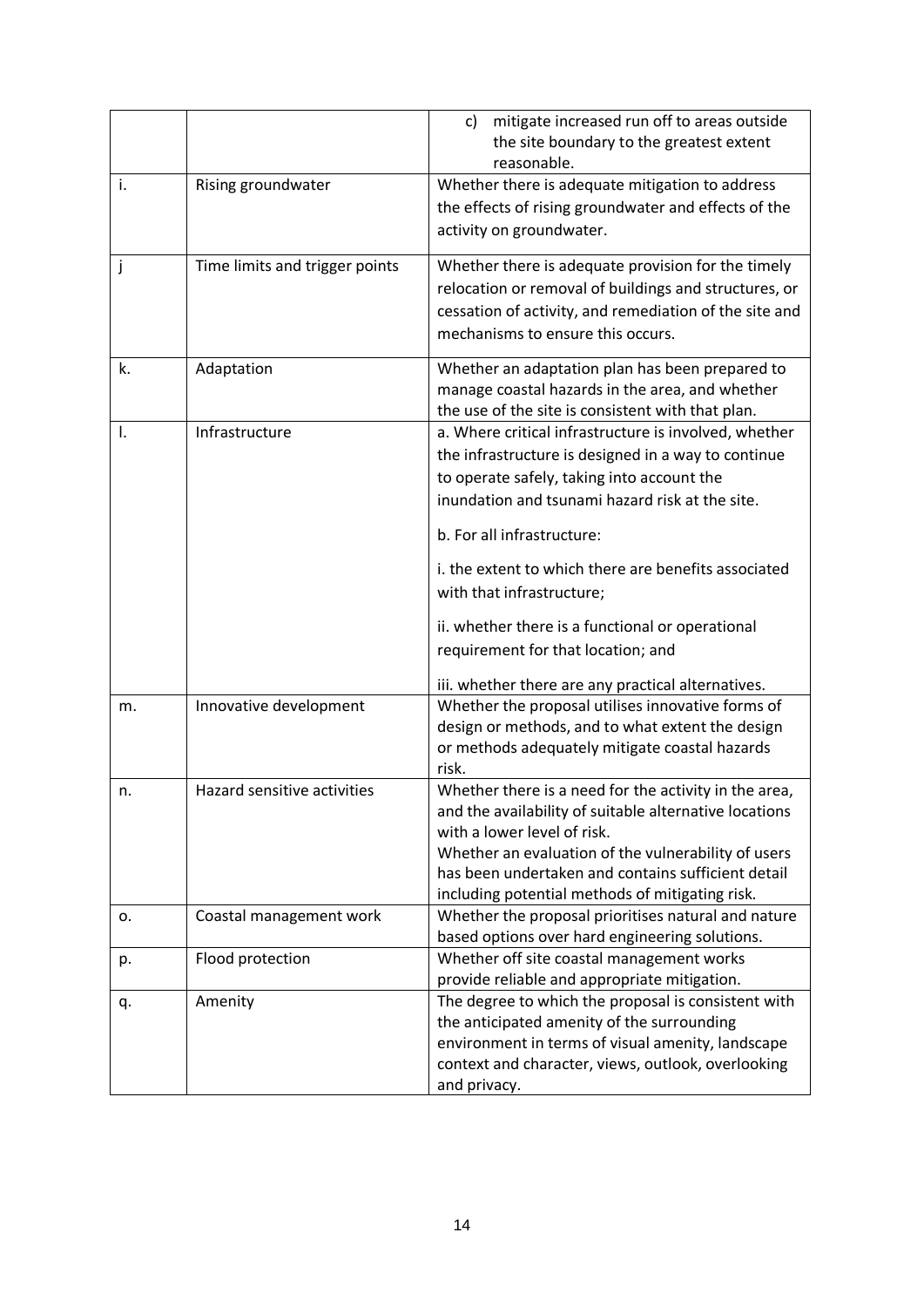|    |                                | mitigate increased run off to areas outside<br>c)<br>the site boundary to the greatest extent<br>reasonable. |
|----|--------------------------------|--------------------------------------------------------------------------------------------------------------|
| i. | Rising groundwater             | Whether there is adequate mitigation to address                                                              |
|    |                                | the effects of rising groundwater and effects of the                                                         |
|    |                                | activity on groundwater.                                                                                     |
| j  | Time limits and trigger points | Whether there is adequate provision for the timely                                                           |
|    |                                | relocation or removal of buildings and structures, or                                                        |
|    |                                | cessation of activity, and remediation of the site and                                                       |
|    |                                | mechanisms to ensure this occurs.                                                                            |
| k. | Adaptation                     | Whether an adaptation plan has been prepared to                                                              |
|    |                                | manage coastal hazards in the area, and whether                                                              |
|    |                                | the use of the site is consistent with that plan.                                                            |
| Ι. | Infrastructure                 | a. Where critical infrastructure is involved, whether                                                        |
|    |                                | the infrastructure is designed in a way to continue                                                          |
|    |                                | to operate safely, taking into account the                                                                   |
|    |                                | inundation and tsunami hazard risk at the site.                                                              |
|    |                                | b. For all infrastructure:                                                                                   |
|    |                                | i. the extent to which there are benefits associated                                                         |
|    |                                | with that infrastructure;                                                                                    |
|    |                                | ii. whether there is a functional or operational                                                             |
|    |                                | requirement for that location; and                                                                           |
|    |                                | iii. whether there are any practical alternatives.                                                           |
| m. | Innovative development         | Whether the proposal utilises innovative forms of                                                            |
|    |                                | design or methods, and to what extent the design                                                             |
|    |                                | or methods adequately mitigate coastal hazards                                                               |
|    |                                | risk.                                                                                                        |
| n. | Hazard sensitive activities    | Whether there is a need for the activity in the area,                                                        |
|    |                                | and the availability of suitable alternative locations<br>with a lower level of risk.                        |
|    |                                | Whether an evaluation of the vulnerability of users                                                          |
|    |                                | has been undertaken and contains sufficient detail                                                           |
|    |                                | including potential methods of mitigating risk.                                                              |
| о. | Coastal management work        | Whether the proposal prioritises natural and nature                                                          |
|    |                                | based options over hard engineering solutions.                                                               |
| p. | Flood protection               | Whether off site coastal management works                                                                    |
|    |                                | provide reliable and appropriate mitigation.                                                                 |
| q. | Amenity                        | The degree to which the proposal is consistent with                                                          |
|    |                                | the anticipated amenity of the surrounding                                                                   |
|    |                                | environment in terms of visual amenity, landscape                                                            |
|    |                                | context and character, views, outlook, overlooking                                                           |
|    |                                | and privacy.                                                                                                 |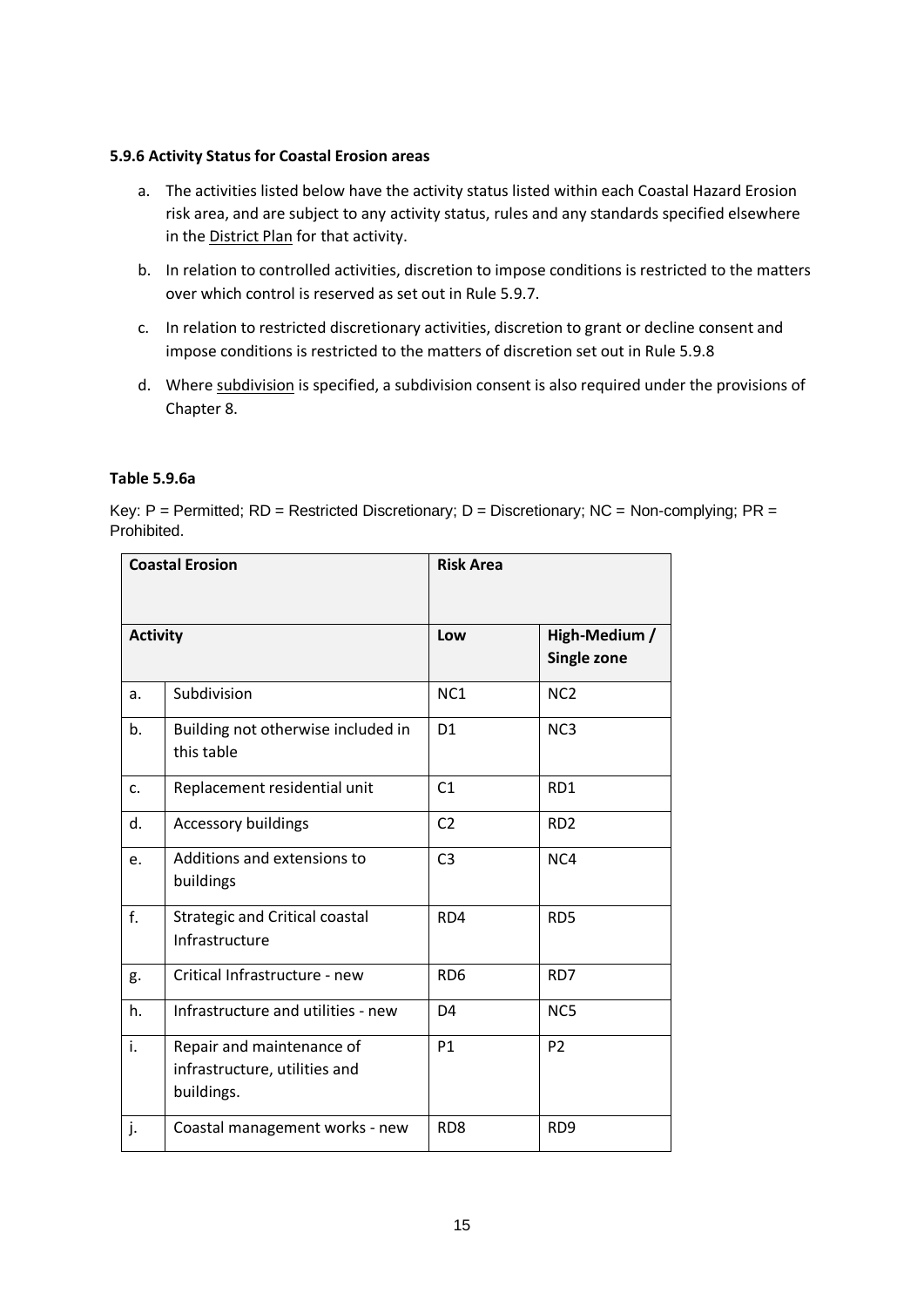#### **5.9.6 Activity Status for Coastal Erosion areas**

- a. The activities listed below have the activity status listed within each Coastal Hazard Erosion risk area, and are subject to any activity status, rules and any standards specified elsewhere in the District Plan for that activity.
- b. In relation to controlled activities, discretion to impose conditions is restricted to the matters over which control is reserved as set out in Rule 5.9.7.
- c. In relation to restricted discretionary activities, discretion to grant or decline consent and impose conditions is restricted to the matters of discretion set out in Rule 5.9.8
- d. Where subdivision is specified, a subdivision consent is also required under the provisions of Chapter 8.

### **Table 5.9.6a**

Key:  $P =$  Permitted;  $RD =$  Restricted Discretionary;  $D =$  Discretionary;  $NC =$  Non-complying;  $PR =$ Prohibited.

| <b>Coastal Erosion</b> |                                                                          | <b>Risk Area</b> |                              |
|------------------------|--------------------------------------------------------------------------|------------------|------------------------------|
|                        |                                                                          |                  |                              |
| <b>Activity</b>        |                                                                          | Low              | High-Medium /<br>Single zone |
|                        |                                                                          |                  |                              |
| a.                     | Subdivision                                                              | NC <sub>1</sub>  | NC <sub>2</sub>              |
| b.                     | Building not otherwise included in<br>this table                         | D <sub>1</sub>   | NC <sub>3</sub>              |
| c.                     | Replacement residential unit                                             | C <sub>1</sub>   | RD1                          |
| d.                     | <b>Accessory buildings</b>                                               | C <sub>2</sub>   | RD <sub>2</sub>              |
| e.                     | Additions and extensions to<br>buildings                                 | C <sub>3</sub>   | NC4                          |
| f.                     | <b>Strategic and Critical coastal</b><br>Infrastructure                  | RD4              | RD <sub>5</sub>              |
| g.                     | Critical Infrastructure - new                                            | RD <sub>6</sub>  | RD7                          |
| h.                     | Infrastructure and utilities - new                                       | D <sub>4</sub>   | NC5                          |
| i.                     | Repair and maintenance of<br>infrastructure, utilities and<br>buildings. | <b>P1</b>        | P <sub>2</sub>               |
| j.                     | Coastal management works - new                                           | RD <sub>8</sub>  | RD <sub>9</sub>              |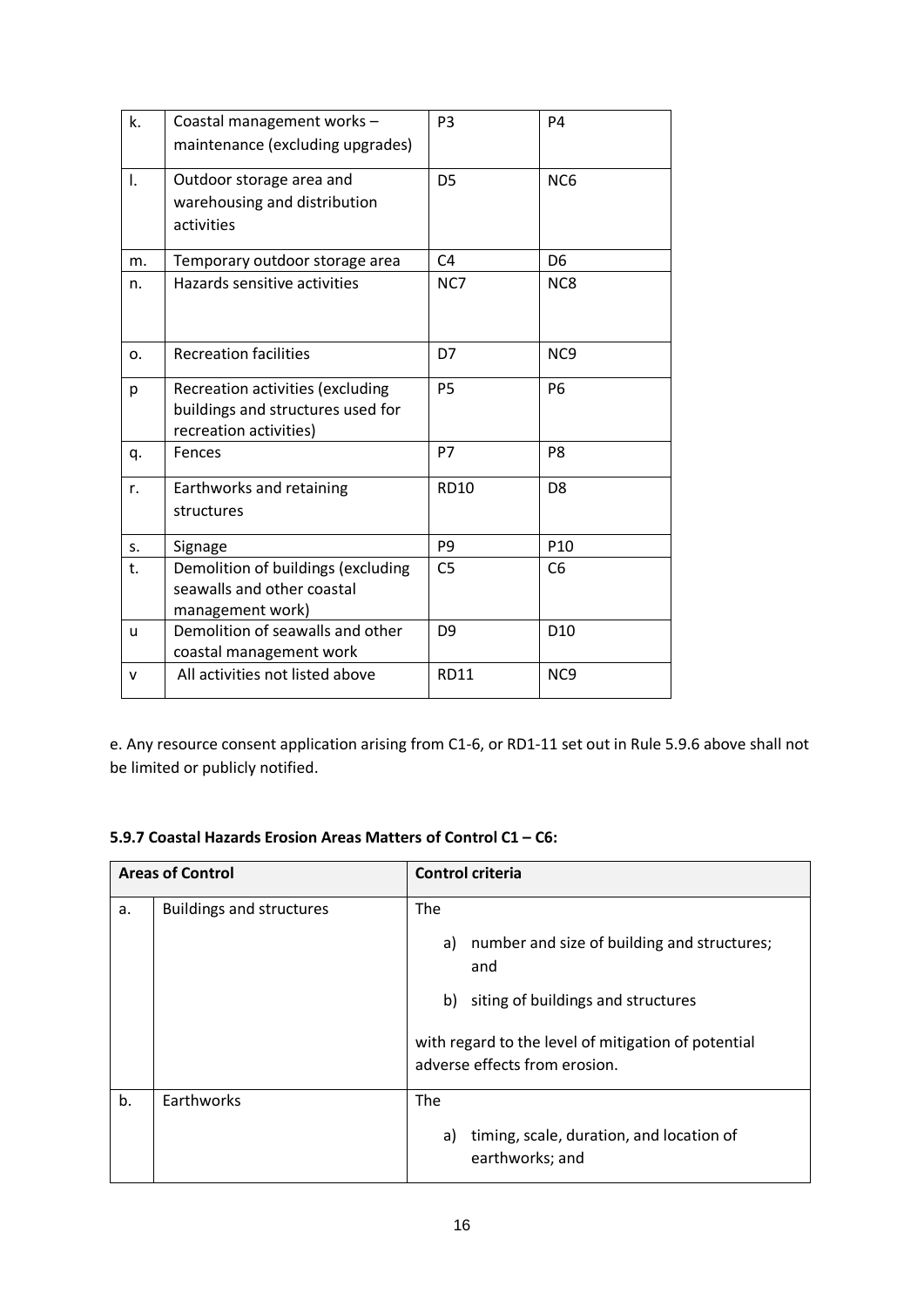| k.             | Coastal management works -<br>maintenance (excluding upgrades)                                  | P <sub>3</sub> | P <sub>4</sub>  |
|----------------|-------------------------------------------------------------------------------------------------|----------------|-----------------|
| $\mathsf{I}$ . | Outdoor storage area and<br>warehousing and distribution<br>activities                          | D <sub>5</sub> | NC <sub>6</sub> |
| m.             | Temporary outdoor storage area                                                                  | C4             | D <sub>6</sub>  |
| n.             | Hazards sensitive activities                                                                    | NC7            | NC8             |
| o.             | <b>Recreation facilities</b>                                                                    | D7             | NC <sub>9</sub> |
| р              | Recreation activities (excluding<br>buildings and structures used for<br>recreation activities) | P <sub>5</sub> | P <sub>6</sub>  |
| q.             | Fences                                                                                          | <b>P7</b>      | P <sub>8</sub>  |
| r.             | Earthworks and retaining<br>structures                                                          | <b>RD10</b>    | D <sub>8</sub>  |
| S.             | Signage                                                                                         | P <sub>9</sub> | P10             |
| t.             | Demolition of buildings (excluding<br>seawalls and other coastal<br>management work)            | C <sub>5</sub> | C <sub>6</sub>  |
| $\mathsf{u}$   | Demolition of seawalls and other<br>coastal management work                                     | D <sub>9</sub> | D <sub>10</sub> |
| v              | All activities not listed above                                                                 | <b>RD11</b>    | NC <sub>9</sub> |

e. Any resource consent application arising from C1-6, or RD1-11 set out in Rule 5.9.6 above shall not be limited or publicly notified.

#### **5.9.7 Coastal Hazards Erosion Areas Matters of Control C1 – C6:**

| <b>Areas of Control</b> |                                 | <b>Control criteria</b>                                                              |  |
|-------------------------|---------------------------------|--------------------------------------------------------------------------------------|--|
| а.                      | <b>Buildings and structures</b> | The<br>number and size of building and structures;<br>a)                             |  |
|                         |                                 | and                                                                                  |  |
|                         |                                 | siting of buildings and structures<br>b)                                             |  |
|                         |                                 | with regard to the level of mitigation of potential<br>adverse effects from erosion. |  |
| b.                      | Earthworks                      | The                                                                                  |  |
|                         |                                 | timing, scale, duration, and location of<br>a)<br>earthworks; and                    |  |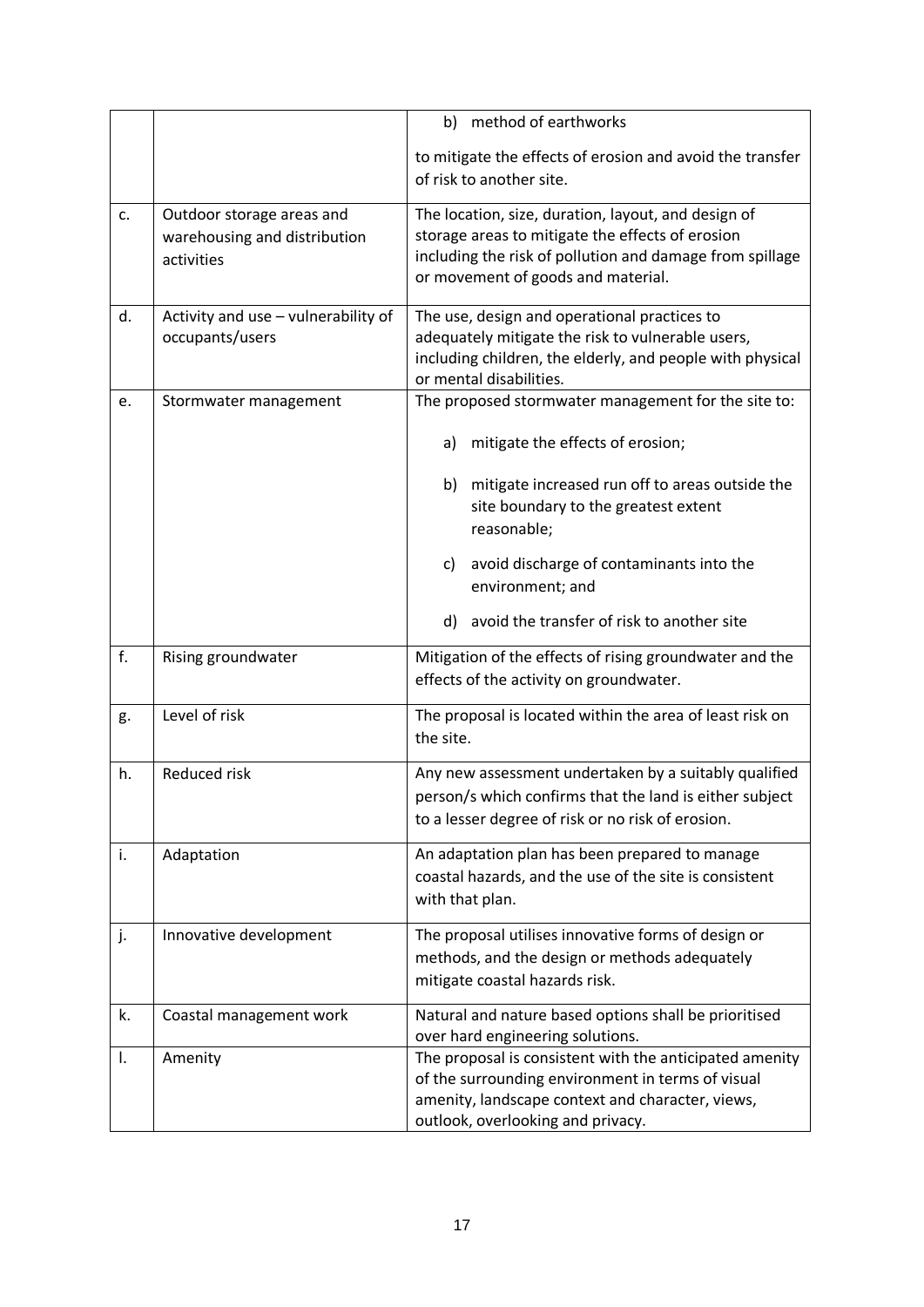|    |                                                                         | method of earthworks<br>b)                                                                                                                                                                                |
|----|-------------------------------------------------------------------------|-----------------------------------------------------------------------------------------------------------------------------------------------------------------------------------------------------------|
|    |                                                                         | to mitigate the effects of erosion and avoid the transfer<br>of risk to another site.                                                                                                                     |
| c. | Outdoor storage areas and<br>warehousing and distribution<br>activities | The location, size, duration, layout, and design of<br>storage areas to mitigate the effects of erosion<br>including the risk of pollution and damage from spillage<br>or movement of goods and material. |
| d. | Activity and use - vulnerability of<br>occupants/users                  | The use, design and operational practices to<br>adequately mitigate the risk to vulnerable users,<br>including children, the elderly, and people with physical<br>or mental disabilities.                 |
| e. | Stormwater management                                                   | The proposed stormwater management for the site to:                                                                                                                                                       |
|    |                                                                         | mitigate the effects of erosion;<br>a)                                                                                                                                                                    |
|    |                                                                         | mitigate increased run off to areas outside the<br>b)<br>site boundary to the greatest extent<br>reasonable;                                                                                              |
|    |                                                                         | avoid discharge of contaminants into the<br>c)<br>environment; and                                                                                                                                        |
|    |                                                                         | avoid the transfer of risk to another site<br>d)                                                                                                                                                          |
| f. | Rising groundwater                                                      | Mitigation of the effects of rising groundwater and the<br>effects of the activity on groundwater.                                                                                                        |
| g. | Level of risk                                                           | The proposal is located within the area of least risk on<br>the site.                                                                                                                                     |
| h. | Reduced risk                                                            | Any new assessment undertaken by a suitably qualified<br>person/s which confirms that the land is either subject<br>to a lesser degree of risk or no risk of erosion.                                     |
| i. | Adaptation                                                              | An adaptation plan has been prepared to manage<br>coastal hazards, and the use of the site is consistent<br>with that plan.                                                                               |
| j. | Innovative development                                                  | The proposal utilises innovative forms of design or<br>methods, and the design or methods adequately<br>mitigate coastal hazards risk.                                                                    |
| k. | Coastal management work                                                 | Natural and nature based options shall be prioritised<br>over hard engineering solutions.                                                                                                                 |
| I. | Amenity                                                                 | The proposal is consistent with the anticipated amenity<br>of the surrounding environment in terms of visual<br>amenity, landscape context and character, views,<br>outlook, overlooking and privacy.     |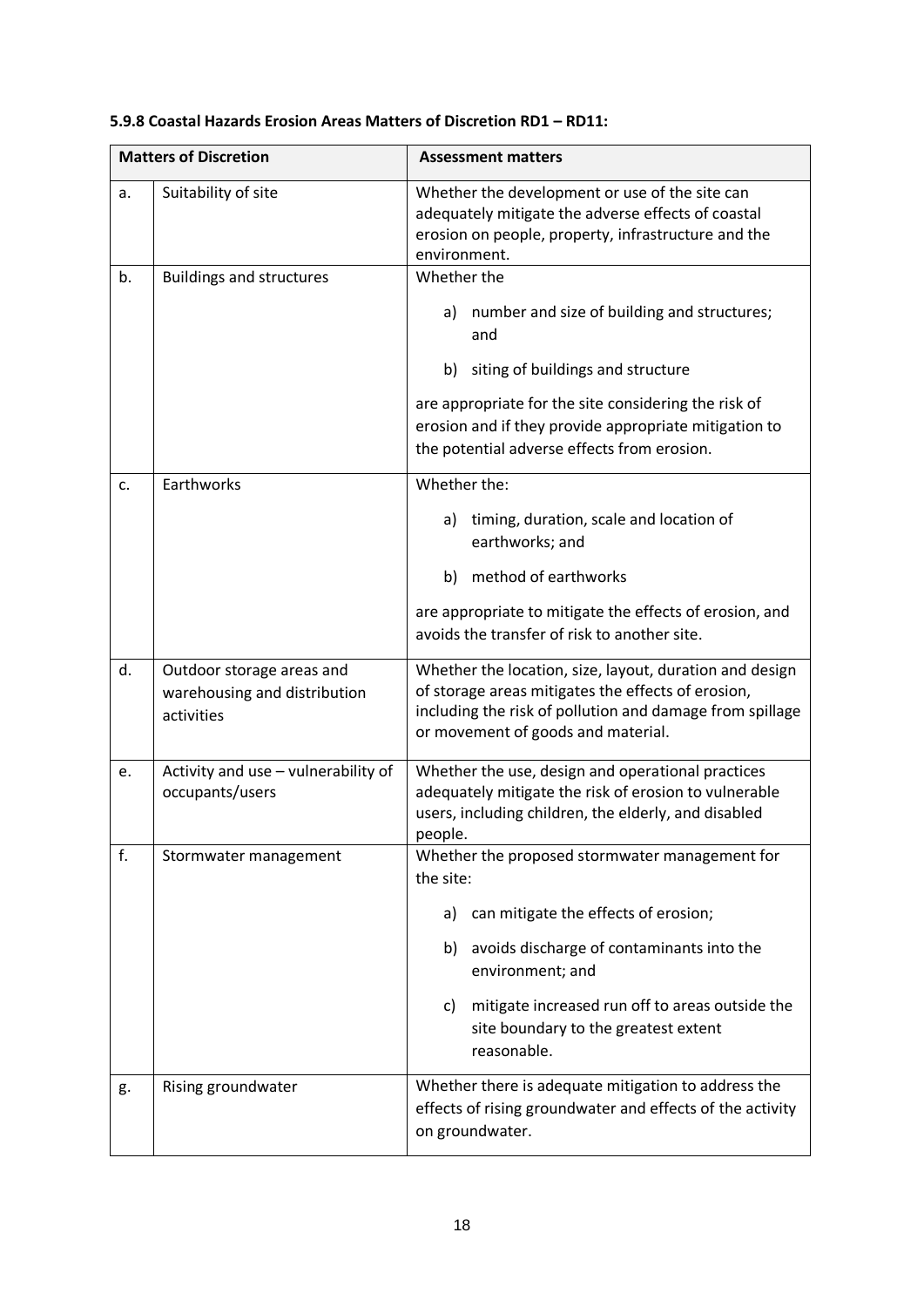| <b>Matters of Discretion</b> |                                                                         | <b>Assessment matters</b>                                                                                                                                                                                       |
|------------------------------|-------------------------------------------------------------------------|-----------------------------------------------------------------------------------------------------------------------------------------------------------------------------------------------------------------|
| a.                           | Suitability of site                                                     | Whether the development or use of the site can<br>adequately mitigate the adverse effects of coastal<br>erosion on people, property, infrastructure and the<br>environment.                                     |
| b.                           | <b>Buildings and structures</b>                                         | Whether the                                                                                                                                                                                                     |
|                              |                                                                         | number and size of building and structures;<br>a)<br>and                                                                                                                                                        |
|                              |                                                                         | siting of buildings and structure<br>b)                                                                                                                                                                         |
|                              |                                                                         | are appropriate for the site considering the risk of<br>erosion and if they provide appropriate mitigation to<br>the potential adverse effects from erosion.                                                    |
| c.                           | Earthworks                                                              | Whether the:                                                                                                                                                                                                    |
|                              |                                                                         | timing, duration, scale and location of<br>a)<br>earthworks; and                                                                                                                                                |
|                              |                                                                         | method of earthworks<br>b)                                                                                                                                                                                      |
|                              |                                                                         | are appropriate to mitigate the effects of erosion, and<br>avoids the transfer of risk to another site.                                                                                                         |
| d.                           | Outdoor storage areas and<br>warehousing and distribution<br>activities | Whether the location, size, layout, duration and design<br>of storage areas mitigates the effects of erosion,<br>including the risk of pollution and damage from spillage<br>or movement of goods and material. |
| e.                           | Activity and use - vulnerability of<br>occupants/users                  | Whether the use, design and operational practices<br>adequately mitigate the risk of erosion to vulnerable<br>users, including children, the elderly, and disabled<br>people.                                   |
| f.                           | Stormwater management                                                   | Whether the proposed stormwater management for<br>the site:                                                                                                                                                     |
|                              |                                                                         | can mitigate the effects of erosion;<br>a)                                                                                                                                                                      |
|                              |                                                                         | avoids discharge of contaminants into the<br>b)<br>environment; and                                                                                                                                             |
|                              |                                                                         | mitigate increased run off to areas outside the<br>C)<br>site boundary to the greatest extent<br>reasonable.                                                                                                    |
| g.                           | Rising groundwater                                                      | Whether there is adequate mitigation to address the<br>effects of rising groundwater and effects of the activity<br>on groundwater.                                                                             |

# **5.9.8 Coastal Hazards Erosion Areas Matters of Discretion RD1 – RD11:**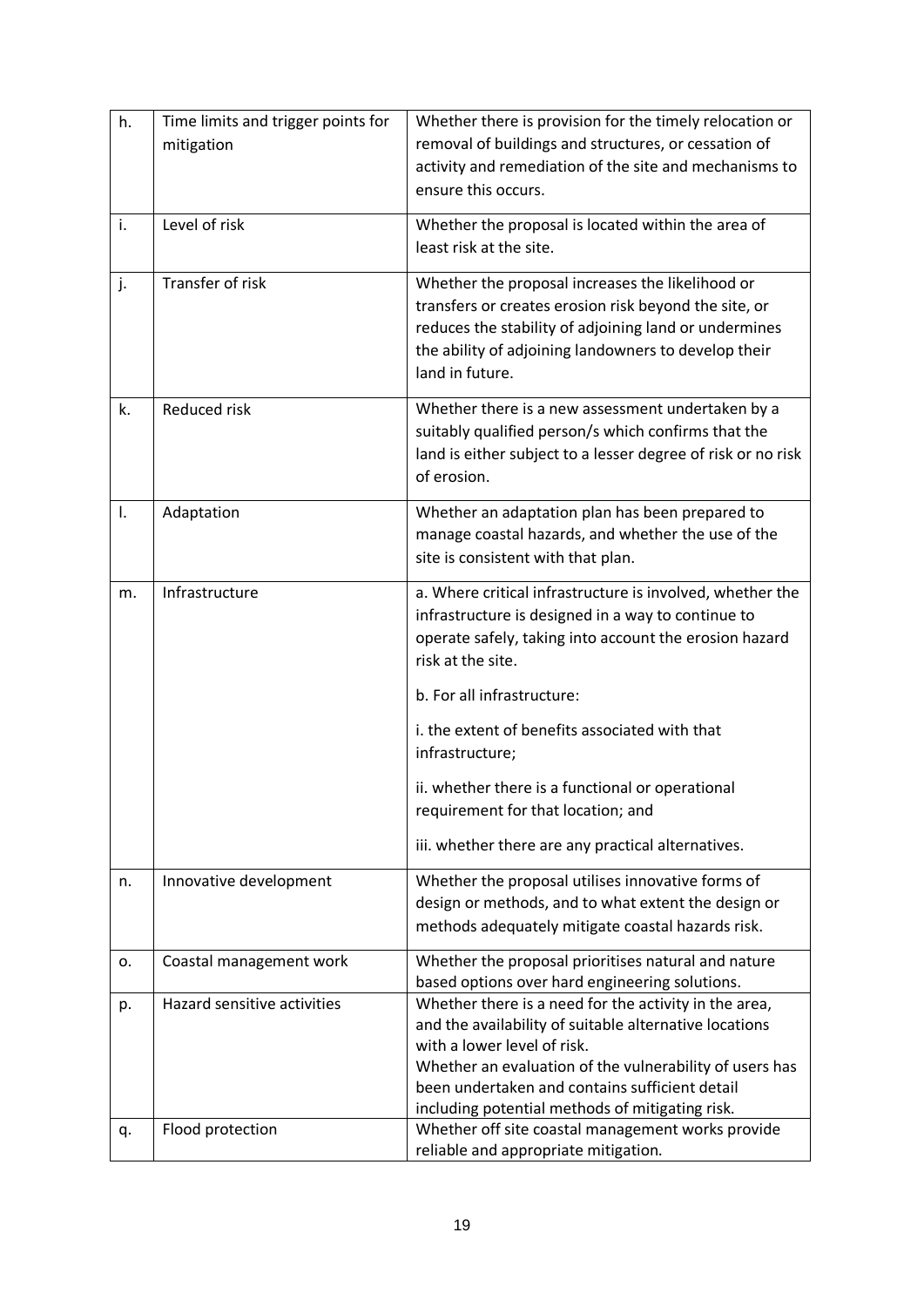| h. | Time limits and trigger points for<br>mitigation | Whether there is provision for the timely relocation or<br>removal of buildings and structures, or cessation of<br>activity and remediation of the site and mechanisms to<br>ensure this occurs.                                                                                                               |
|----|--------------------------------------------------|----------------------------------------------------------------------------------------------------------------------------------------------------------------------------------------------------------------------------------------------------------------------------------------------------------------|
| i. | Level of risk                                    | Whether the proposal is located within the area of<br>least risk at the site.                                                                                                                                                                                                                                  |
| j. | Transfer of risk                                 | Whether the proposal increases the likelihood or<br>transfers or creates erosion risk beyond the site, or<br>reduces the stability of adjoining land or undermines<br>the ability of adjoining landowners to develop their<br>land in future.                                                                  |
| k. | Reduced risk                                     | Whether there is a new assessment undertaken by a<br>suitably qualified person/s which confirms that the<br>land is either subject to a lesser degree of risk or no risk<br>of erosion.                                                                                                                        |
| Ι. | Adaptation                                       | Whether an adaptation plan has been prepared to<br>manage coastal hazards, and whether the use of the<br>site is consistent with that plan.                                                                                                                                                                    |
| m. | Infrastructure                                   | a. Where critical infrastructure is involved, whether the<br>infrastructure is designed in a way to continue to<br>operate safely, taking into account the erosion hazard<br>risk at the site.                                                                                                                 |
|    |                                                  | b. For all infrastructure:                                                                                                                                                                                                                                                                                     |
|    |                                                  | i. the extent of benefits associated with that<br>infrastructure;                                                                                                                                                                                                                                              |
|    |                                                  | ii. whether there is a functional or operational<br>requirement for that location; and                                                                                                                                                                                                                         |
|    |                                                  | iii. whether there are any practical alternatives.                                                                                                                                                                                                                                                             |
| n. | Innovative development                           | Whether the proposal utilises innovative forms of<br>design or methods, and to what extent the design or<br>methods adequately mitigate coastal hazards risk.                                                                                                                                                  |
| о. | Coastal management work                          | Whether the proposal prioritises natural and nature<br>based options over hard engineering solutions.                                                                                                                                                                                                          |
| p. | Hazard sensitive activities                      | Whether there is a need for the activity in the area,<br>and the availability of suitable alternative locations<br>with a lower level of risk.<br>Whether an evaluation of the vulnerability of users has<br>been undertaken and contains sufficient detail<br>including potential methods of mitigating risk. |
| q. | Flood protection                                 | Whether off site coastal management works provide<br>reliable and appropriate mitigation.                                                                                                                                                                                                                      |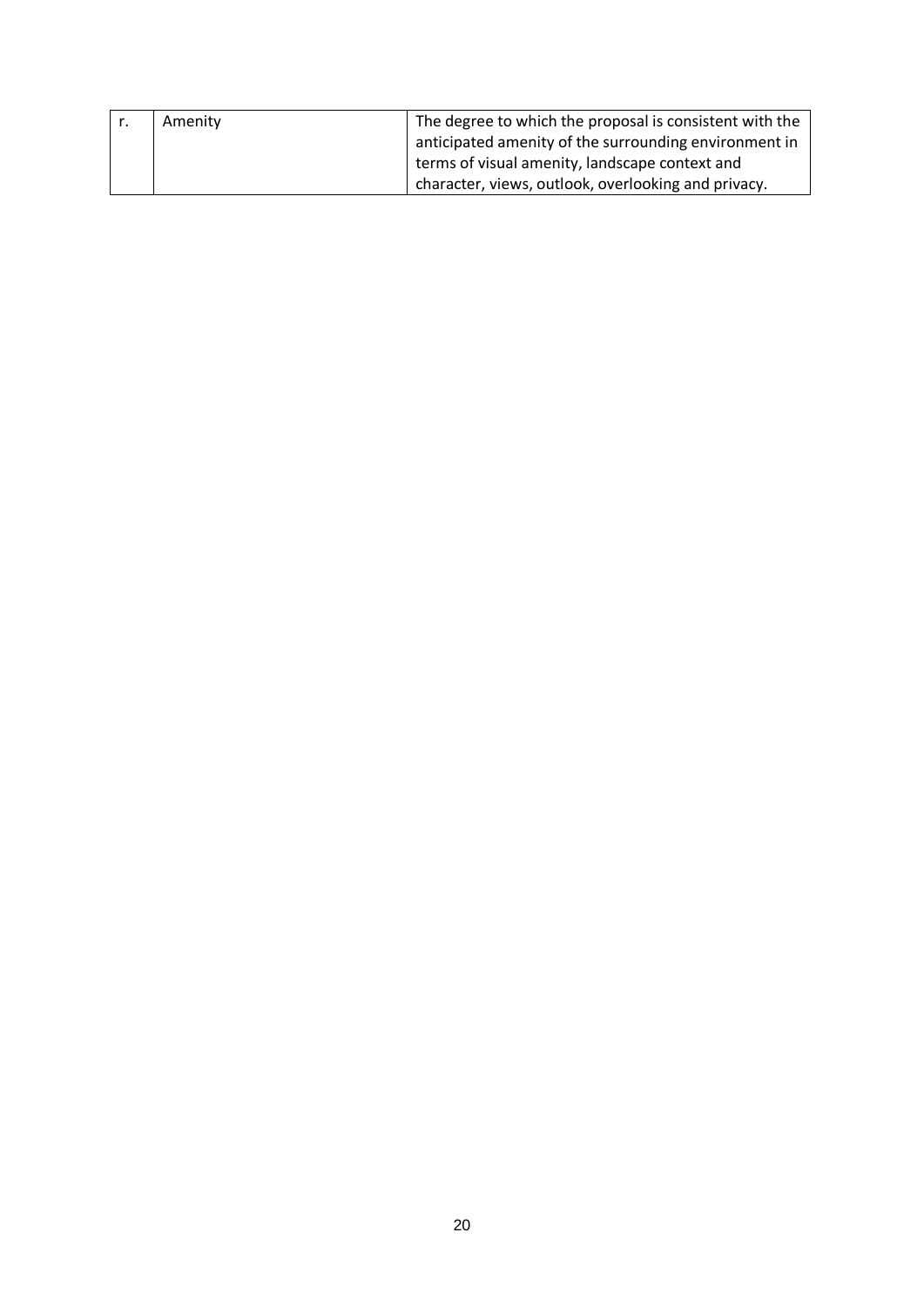| Amenity | The degree to which the proposal is consistent with the |
|---------|---------------------------------------------------------|
|         | anticipated amenity of the surrounding environment in   |
|         | terms of visual amenity, landscape context and          |
|         | character, views, outlook, overlooking and privacy.     |